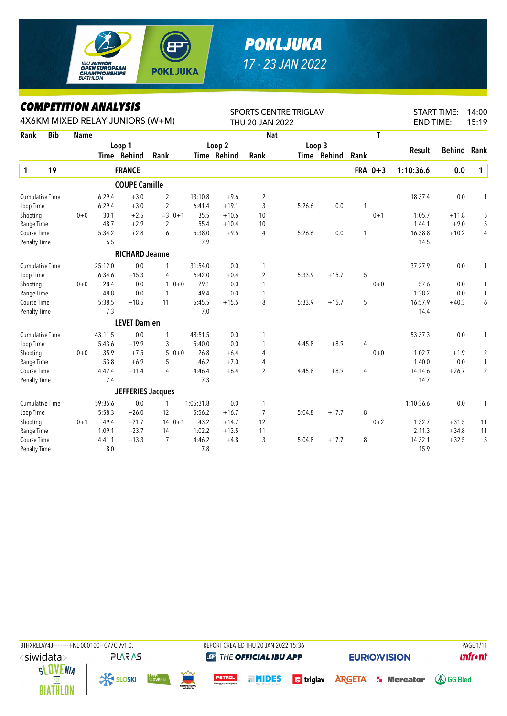

## *POKLJUKA 17 - 23 JAN 2022*

*COMPETITION ANALYSIS*

|                        |            | LUMPEIIIIUN ANALIƏIƏ |         |                                 |                |           |             | SPORTS CENTRE TRIGLAV |        |             |                |         |                  | <b>START TIME:</b> | 14:00          |
|------------------------|------------|----------------------|---------|---------------------------------|----------------|-----------|-------------|-----------------------|--------|-------------|----------------|---------|------------------|--------------------|----------------|
|                        |            |                      |         | 4X6KM MIXED RELAY JUNIORS (W+M) |                |           |             | THU 20 JAN 2022       |        |             |                |         | <b>END TIME:</b> |                    | 15:19          |
| Rank                   | <b>Bib</b> | <b>Name</b>          |         |                                 |                |           |             | <b>Nat</b>            |        |             |                | T       |                  |                    |                |
|                        |            |                      |         | Loop 1                          |                |           | Loop 2      |                       |        | Loop 3      |                |         | Result           | <b>Behind</b>      | Rank           |
|                        |            |                      |         | Time Behind                     | Rank           |           | Time Behind | Rank                  |        | Time Behind | Rank           |         |                  |                    |                |
| 1                      | 19         |                      |         | <b>FRANCE</b>                   |                |           |             |                       |        |             |                | FRA 0+3 | 1:10:36.6        | 0.0                | $\mathbf{1}$   |
|                        |            |                      |         | <b>COUPE Camille</b>            |                |           |             |                       |        |             |                |         |                  |                    |                |
| <b>Cumulative Time</b> |            |                      | 6:29.4  | $+3.0$                          | 2              | 13:10.8   | $+9.6$      | $\overline{2}$        |        |             |                |         | 18:37.4          | 0.0                | 1              |
| Loop Time              |            |                      | 6:29.4  | $+3.0$                          | $\overline{2}$ | 6:41.4    | $+19.1$     | 3                     | 5:26.6 | 0.0         | 1              |         |                  |                    |                |
| Shooting               |            | $0 + 0$              | 30.1    | $+2.5$                          | $=3$ 0+1       | 35.5      | $+10.6$     | 10                    |        |             |                | $0 + 1$ | 1:05.7           | $+11.8$            | 5              |
| Range Time             |            |                      | 48.7    | $+2.9$                          | $\overline{2}$ | 55.4      | $+10.4$     | 10                    |        |             |                |         | 1:44.1           | $+9.0$             | 5              |
| Course Time            |            |                      | 5:34.2  | $+2.8$                          | 6              | 5:38.0    | $+9.5$      | 4                     | 5:26.6 | 0.0         | 1              |         | 16:38.8          | $+10.2$            | 4              |
| <b>Penalty Time</b>    |            |                      | 6.5     |                                 |                | 7.9       |             |                       |        |             |                |         | 14.5             |                    |                |
|                        |            |                      |         | <b>RICHARD Jeanne</b>           |                |           |             |                       |        |             |                |         |                  |                    |                |
| <b>Cumulative Time</b> |            |                      | 25:12.0 | 0.0                             | 1              | 31:54.0   | 0.0         | 1                     |        |             |                |         | 37:27.9          | 0.0                | $\mathbf{1}$   |
| Loop Time              |            |                      | 6:34.6  | $+15.3$                         | 4              | 6:42.0    | $+0.4$      | 2                     | 5:33.9 | $+15.7$     | 5              |         |                  |                    |                |
| Shooting               |            | $0 + 0$              | 28.4    | 0.0                             | $10+0$         | 29.1      | 0.0         | 1                     |        |             |                | $0 + 0$ | 57.6             | 0.0                | 1              |
| Range Time             |            |                      | 48.8    | 0.0                             | 1              | 49.4      | 0.0         | 1                     |        |             |                |         | 1:38.2           | 0.0                | $\mathbf{1}$   |
| Course Time            |            |                      | 5:38.5  | $+18.5$                         | 11             | 5:45.5    | $+15.5$     | 8                     | 5:33.9 | $+15.7$     | 5              |         | 16:57.9          | $+40.3$            | 6              |
| <b>Penalty Time</b>    |            |                      | 7.3     |                                 |                | 7.0       |             |                       |        |             |                |         | 14.4             |                    |                |
|                        |            |                      |         | <b>LEVET Damien</b>             |                |           |             |                       |        |             |                |         |                  |                    |                |
| <b>Cumulative Time</b> |            |                      | 43:11.5 | 0.0                             | 1              | 48:51.5   | 0.0         | 1                     |        |             |                |         | 53:37.3          | 0.0                | 1              |
| Loop Time              |            |                      | 5:43.6  | $+19.9$                         | 3              | 5:40.0    | 0.0         | 1                     | 4:45.8 | $+8.9$      | $\overline{4}$ |         |                  |                    |                |
| Shooting               |            | $0 + 0$              | 35.9    | $+7.5$                          | $50+0$         | 26.8      | $+6.4$      | 4                     |        |             |                | $0 + 0$ | 1:02.7           | $+1.9$             | $\overline{2}$ |
| Range Time             |            |                      | 53.8    | $+6.9$                          | 5              | 46.2      | $+7.0$      | 4                     |        |             |                |         | 1:40.0           | 0.0                | $\mathbf{1}$   |
| Course Time            |            |                      | 4:42.4  | $+11.4$                         | $\overline{4}$ | 4:46.4    | $+6.4$      | $\overline{2}$        | 4:45.8 | $+8.9$      | $\overline{4}$ |         | 14:14.6          | $+26.7$            | $\overline{2}$ |
| <b>Penalty Time</b>    |            |                      | 7.4     |                                 |                | 7.3       |             |                       |        |             |                |         | 14.7             |                    |                |
|                        |            |                      |         | <b>JEFFERIES Jacques</b>        |                |           |             |                       |        |             |                |         |                  |                    |                |
| <b>Cumulative Time</b> |            |                      | 59:35.6 | 0.0                             | 1              | 1:05:31.8 | 0.0         | 1                     |        |             |                |         | 1:10:36.6        | 0.0                | 1              |
| Loop Time              |            |                      | 5:58.3  | $+26.0$                         | 12             | 5:56.2    | $+16.7$     | $\overline{7}$        | 5:04.8 | $+17.7$     | 8              |         |                  |                    |                |
| Shooting               |            | $0 + 1$              | 49.4    | $+21.7$                         | $140+1$        | 43.2      | $+14.7$     | 12                    |        |             |                | $0 + 2$ | 1:32.7           | $+31.5$            | 11             |
| Range Time             |            |                      | 1:09.1  | $+23.7$                         | 14             | 1:02.2    | $+13.5$     | 11                    |        |             |                |         | 2:11.3           | $+34.8$            | 11             |
| Course Time            |            |                      | 4:41.1  | $+13.3$                         | $\overline{7}$ | 4:46.2    | $+4.8$      | 3                     | 5:04.8 | $+17.7$     | 8              |         | 14:32.1          | $+32.5$            | 5              |
| <b>Penalty Time</b>    |            |                      | 8.0     |                                 |                | 7.8       |             |                       |        |             |                |         | 15.9             |                    |                |

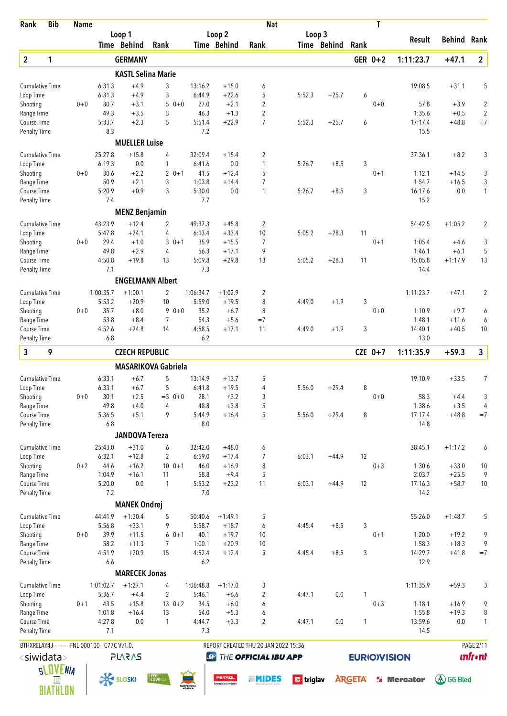| Rank                                | <b>Bib</b>      | <b>Name</b>                                    |                   |                            |                          |                     |                                 | <b>Nat</b>                           |                  |             |               | T         |                    |                    |                  |
|-------------------------------------|-----------------|------------------------------------------------|-------------------|----------------------------|--------------------------|---------------------|---------------------------------|--------------------------------------|------------------|-------------|---------------|-----------|--------------------|--------------------|------------------|
|                                     |                 |                                                |                   | Loop 1                     |                          |                     | Loop <sub>2</sub>               |                                      | Loop 3           |             |               |           | Result             | <b>Behind Rank</b> |                  |
|                                     |                 |                                                |                   | Time Behind                | Rank                     |                     | Time Behind                     | Rank                                 |                  | Time Behind | Rank          |           |                    |                    |                  |
| $\overline{2}$                      | $\mathbf{1}$    |                                                |                   | <b>GERMANY</b>             |                          |                     |                                 |                                      |                  |             |               | GER 0+2   | 1:11:23.7          | $+47.1$            | $\overline{2}$   |
|                                     |                 |                                                |                   | <b>KASTL Selina Marie</b>  |                          |                     |                                 |                                      |                  |             |               |           |                    |                    |                  |
| <b>Cumulative Time</b><br>Loop Time |                 |                                                | 6:31.3<br>6:31.3  | $+4.9$<br>$+4.9$           | 3<br>3                   | 13:16.2<br>6:44.9   | $+15.0$<br>$+22.6$              | 6<br>5                               | 5:52.3           | $+25.7$     |               |           | 19:08.5            | $+31.1$            | 5                |
| Shooting                            |                 | $0 + 0$                                        | 30.7              | $+3.1$                     | 5                        | 27.0<br>$0 + 0$     | $+2.1$                          | $\overline{2}$                       |                  |             | 6             | $0 + 0$   | 57.8               | $+3.9$             | $\overline{2}$   |
| Range Time                          |                 |                                                | 49.3              | $+3.5$                     | 3                        | 46.3                | $+1.3$                          | $\overline{2}$                       |                  |             |               |           | 1:35.6             | $+0.5$             | $\overline{2}$   |
| Course Time                         |                 |                                                | 5:33.7            | $+2.3$                     | 5                        | 5:51.4              | $+22.9$                         | $\overline{7}$                       | 5:52.3           | $+25.7$     | 6             |           | 17:17.4            | $+48.8$            | $=7$             |
| <b>Penalty Time</b>                 |                 |                                                | 8.3               |                            |                          | 7.2                 |                                 |                                      |                  |             |               |           | 15.5               |                    |                  |
|                                     |                 |                                                |                   | <b>MUELLER Luise</b>       |                          |                     |                                 |                                      |                  |             |               |           |                    |                    |                  |
| <b>Cumulative Time</b>              |                 |                                                | 25:27.8           | $+15.8$                    | 4                        | 32:09.4             | $+15.4$                         | 2                                    |                  |             |               |           | 37:36.1            | $+8.2$             | 3                |
| Loop Time                           |                 |                                                | 6:19.3            | 0.0                        | 1                        | 6:41.6              | 0.0                             | 1                                    | 5:26.7           | $+8.5$      | 3             |           |                    |                    |                  |
| Shooting                            |                 | $0 + 0$                                        | 30.6<br>50.9      | $+2.2$<br>$+2.1$           | $20+1$<br>3              | 41.5<br>1:03.8      | $+12.4$<br>$+14.4$              | 5<br>$\overline{7}$                  |                  |             |               | $0 + 1$   | 1:12.1<br>1:54.7   | $+14.5$<br>$+16.5$ | 3<br>3           |
| Range Time<br>Course Time           |                 |                                                | 5:20.9            | $+0.9$                     | 3                        | 5:30.0              | 0.0                             | 1                                    | 5:26.7           | $+8.5$      | 3             |           | 16:17.6            | 0.0                | $\mathbf{1}$     |
| <b>Penalty Time</b>                 |                 |                                                | 7.4               |                            |                          | 7.7                 |                                 |                                      |                  |             |               |           | 15.2               |                    |                  |
|                                     |                 |                                                |                   | <b>MENZ Benjamin</b>       |                          |                     |                                 |                                      |                  |             |               |           |                    |                    |                  |
| <b>Cumulative Time</b>              |                 |                                                | 43:23.9           | $+12.4$                    | 2                        | 49:37.3             | $+45.8$                         | $\overline{2}$                       |                  |             |               |           | 54:42.5            | $+1:05.2$          | $\overline{2}$   |
| Loop Time                           |                 |                                                | 5:47.8            | $+24.1$                    | 4                        | 6:13.4              | $+33.4$                         | 10                                   | 5:05.2           | $+28.3$     | 11            |           |                    |                    |                  |
| Shooting                            |                 | $0 + 0$                                        | 29.4              | $+1.0$                     | 3                        | $0 + 1$<br>35.9     | $+15.5$                         | 7                                    |                  |             |               | $0 + 1$   | 1:05.4             | $+4.6$             | 3                |
| Range Time                          |                 |                                                | 49.8              | $+2.9$                     | $\overline{4}$           | 56.3                | $+17.1$                         | 9                                    |                  |             |               |           | 1:46.1             | $+6.1$             | 5                |
| Course Time                         |                 |                                                | 4:50.8            | $+19.8$                    | 13                       | 5:09.8              | $+29.8$                         | 13                                   | 5:05.2           | $+28.3$     | 11            |           | 15:05.8            | $+1:17.9$          | 13               |
| <b>Penalty Time</b>                 |                 |                                                | 7.1               |                            |                          | 7.3                 |                                 |                                      |                  |             |               |           | 14.4               |                    |                  |
|                                     |                 |                                                |                   | <b>ENGELMANN Albert</b>    |                          |                     |                                 |                                      |                  |             |               |           |                    |                    |                  |
| <b>Cumulative Time</b>              |                 |                                                | 1:00:35.7         | $+1:00.1$                  | 2                        | 1:06:34.7           | $+1:02.9$                       | $\overline{2}$                       |                  |             |               |           | 1:11:23.7          | $+47.1$            | $\overline{2}$   |
| Loop Time                           |                 |                                                | 5:53.2            | $+20.9$                    | 10                       | 5:59.0              | $+19.5$                         | 8                                    | 4:49.0           | $+1.9$      | 3             |           |                    |                    |                  |
| Shooting<br>Range Time              |                 | $0 + 0$                                        | 35.7<br>53.8      | $+8.0$<br>$+8.4$           | $90+0$<br>7              | 35.2<br>54.3        | $+6.7$<br>$+5.6$                | 8<br>$=7$                            |                  |             |               | $0 + 0$   | 1:10.9<br>1:48.1   | $+9.7$<br>$+11.6$  | 6<br>6           |
| Course Time                         |                 |                                                | 4:52.6            | $+24.8$                    | 14                       | 4:58.5              | $+17.1$                         | 11                                   | 4:49.0           | $+1.9$      | 3             |           | 14:40.1            | $+40.5$            | 10               |
| <b>Penalty Time</b>                 |                 |                                                | 6.8               |                            |                          | 6.2                 |                                 |                                      |                  |             |               |           | 13.0               |                    |                  |
| 3                                   | 9               |                                                |                   | <b>CZECH REPUBLIC</b>      |                          |                     |                                 |                                      |                  |             |               | $CZE$ 0+7 | 1:11:35.9          | $+59.3$            | $\overline{3}$   |
|                                     |                 |                                                |                   |                            |                          |                     |                                 |                                      |                  |             |               |           |                    |                    |                  |
|                                     |                 |                                                |                   | <b>MASARIKOVA Gabriela</b> |                          |                     |                                 |                                      |                  |             |               |           |                    |                    |                  |
| <b>Cumulative Time</b>              |                 |                                                | 6:33.1            | $+6.7$                     | 5                        | 13:14.9             | $+13.7$                         | 5                                    |                  |             |               |           | 19:10.9            | $+33.5$            | $\overline{7}$   |
| Loop Time<br>Shooting               |                 | $0+0$                                          | 6:33.1<br>30.1    | $+6.7$<br>$+2.5$           | 5<br>$=3$ 0+0            | 6:41.8<br>28.1      | $+19.5$<br>$+3.2$               | 4<br>3                               | 5:56.0           | $+29.4$     | 8             | $0 + 0$   | 58.3               | $+4.4$             | 3                |
| Range Time                          |                 |                                                | 49.8              | $+4.0$                     | 4                        | 48.8                | $+3.8$                          | 5                                    |                  |             |               |           | 1:38.6             | $+3.5$             | 4                |
| Course Time                         |                 |                                                | 5:36.5            | $+5.1$                     | 9                        | 5:44.9              | $+16.4$                         | 5                                    | 5:56.0           | $+29.4$     | 8             |           | 17:17.4            | $+48.8$            | $=7$             |
| <b>Penalty Time</b>                 |                 |                                                | 6.8               |                            |                          | 8.0                 |                                 |                                      |                  |             |               |           | 14.8               |                    |                  |
|                                     |                 |                                                |                   | <b>JANDOVA Tereza</b>      |                          |                     |                                 |                                      |                  |             |               |           |                    |                    |                  |
| <b>Cumulative Time</b>              |                 |                                                | 25:43.0           | $+31.0$                    | 6                        | 32:42.0             | $+48.0$                         | 6                                    |                  |             |               |           | 38:45.1            | $+1:17.2$          | 6                |
| Loop Time                           |                 |                                                | 6:32.1            | $+12.8$                    | $\overline{2}$           | 6:59.0              | $+17.4$                         | 7                                    | 6:03.1           | $+44.9$     | 12            |           |                    |                    |                  |
| Shooting                            |                 | $0 + 2$                                        | 44.6              | $+16.2$                    | $100 + 1$                | 46.0                | $+16.9$                         | 8                                    |                  |             |               | $0 + 3$   | 1:30.6             | $+33.0$            | 10               |
| Range Time                          |                 |                                                | 1:04.9            | $+16.1$                    | 11                       | 58.8                | $+9.4$                          | 5                                    |                  |             |               |           | 2:03.7             | $+25.5$            | 9                |
| Course Time                         |                 |                                                | 5:20.0<br>7.2     | 0.0                        | $\mathbf{1}$             | 5:53.2<br>7.0       | $+23.2$                         | 11                                   | 6:03.1           | $+44.9$     | 12            |           | 17:16.3<br>14.2    | $+58.7$            | $10$             |
| <b>Penalty Time</b>                 |                 |                                                |                   |                            |                          |                     |                                 |                                      |                  |             |               |           |                    |                    |                  |
|                                     |                 |                                                |                   | <b>MANEK Ondrej</b>        |                          |                     |                                 |                                      |                  |             |               |           |                    |                    |                  |
| <b>Cumulative Time</b>              |                 |                                                | 44:41.9<br>5:56.8 | $+1:30.4$<br>$+33.1$       | 5<br>9                   | 50:40.6<br>5:58.7   | $+1:49.1$<br>$+18.7$            | 5<br>6                               | 4:45.4           | $+8.5$      | 3             |           | 55:26.0            | $+1:48.7$          | 5                |
| Loop Time<br>Shooting               |                 | $0+0$                                          | 39.9              | $+11.5$                    | $60+1$                   | 40.1                | $+19.7$                         | 10                                   |                  |             |               | $0 + 1$   | 1:20.0             | $+19.2$            | 9                |
| Range Time                          |                 |                                                | 58.2              | $+11.3$                    | 7                        | 1:00.1              | $+20.9$                         | 10                                   |                  |             |               |           | 1:58.3             | $+18.3$            | 9                |
| Course Time                         |                 |                                                | 4:51.9            | $+20.9$                    | 15                       | 4:52.4              | $+12.4$                         | 5                                    | 4:45.4           | $+8.5$      | 3             |           | 14:29.7            | $+41.8$            | $=7$             |
| <b>Penalty Time</b>                 |                 |                                                | 6.6               |                            |                          | 6.2                 |                                 |                                      |                  |             |               |           | 12.9               |                    |                  |
|                                     |                 |                                                |                   | <b>MARECEK Jonas</b>       |                          |                     |                                 |                                      |                  |             |               |           |                    |                    |                  |
| <b>Cumulative Time</b>              |                 |                                                | 1:01:02.7         | $+1:27.1$                  | 4                        | 1:06:48.8           | $+1:17.0$                       | 3                                    |                  |             |               |           | 1:11:35.9          | $+59.3$            | 3                |
| Loop Time                           |                 |                                                | 5:36.7            | $+4.4$                     | $\overline{2}$           | 5:46.1              | $+6.6$                          | $\overline{2}$                       | 4:47.1           | $0.0\,$     | 1             |           |                    |                    |                  |
| Shooting                            |                 | $0 + 1$                                        | 43.5              | $+15.8$                    | $130+2$                  | 34.5                | $+6.0$                          | 6                                    |                  |             |               | $0 + 3$   | 1:18.1             | $+16.9$            | 9                |
| Range Time                          |                 |                                                | 1:01.8            | $+16.4$                    | 13                       | 54.0                | $+5.3$                          | 6                                    |                  |             |               |           | 1:55.8             | $+19.3$            | 8                |
| Course Time<br><b>Penalty Time</b>  |                 |                                                | 4:27.8<br>7.1     | 0.0                        | 1                        | 4:44.7<br>7.3       | $+3.3$                          | $\overline{2}$                       | 4:47.1           | 0.0         | 1             |           | 13:59.6<br>14.5    | 0.0                | 1                |
|                                     |                 |                                                |                   |                            |                          |                     |                                 |                                      |                  |             |               |           |                    |                    |                  |
|                                     |                 | BTHXRELAY4J-----------FNL-000100-- C77C Vv1.0. |                   |                            |                          |                     |                                 | REPORT CREATED THU 20 JAN 2022 15:36 |                  |             |               |           |                    |                    | <b>PAGE 2/11</b> |
| <siwidata></siwidata>               |                 |                                                |                   | <b>PLARAS</b>              |                          |                     | $\bigcirc$                      | THE OFFICIAL IBU APP                 |                  |             |               |           | <b>EURIOVISION</b> |                    | <b>unfront</b>   |
|                                     | <b>SLOVENIA</b> |                                                |                   |                            |                          |                     |                                 |                                      |                  |             |               |           |                    |                    |                  |
|                                     | FOR             |                                                |                   | <b>K SLOSKI</b>            | <b>I FEEL</b><br>SLOVENI | SLOVENSKA<br>VOJSKA | PETROL<br>Energija za življenje | . MIDES                              | <b>l triglav</b> |             | <b>ARGETA</b> |           | <b>Si</b> Mercator | <b>A</b> GG Bled   |                  |
|                                     | BIATHLON        |                                                |                   |                            |                          |                     |                                 |                                      |                  |             |               |           |                    |                    |                  |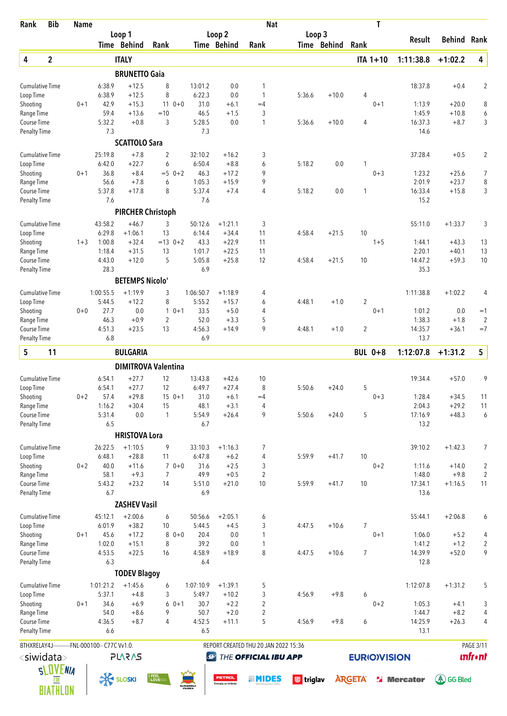| Rank                                | <b>Bib</b>      | <b>Name</b> |                                                |                          |                            |                   |                                 | <b>Nat</b>                           |                  |             | T                  |                    |                    |                                  |
|-------------------------------------|-----------------|-------------|------------------------------------------------|--------------------------|----------------------------|-------------------|---------------------------------|--------------------------------------|------------------|-------------|--------------------|--------------------|--------------------|----------------------------------|
|                                     |                 |             |                                                | Loop 1                   |                            |                   | Loop 2                          |                                      | Loop 3           |             |                    | Result             | <b>Behind Rank</b> |                                  |
|                                     |                 |             |                                                | Time Behind              | Rank                       |                   | Time Behind                     | Rank                                 |                  | Time Behind | Rank               |                    |                    |                                  |
| $\overline{\mathbf{4}}$             | $\mathbf{2}$    |             |                                                | <b>ITALY</b>             |                            |                   |                                 |                                      |                  |             | ITA $1+10$         | 1:11:38.8          | $+1:02.2$          | 4                                |
|                                     |                 |             |                                                | <b>BRUNETTO Gaia</b>     |                            |                   |                                 |                                      |                  |             |                    |                    |                    |                                  |
| <b>Cumulative Time</b><br>Loop Time |                 |             | 6:38.9<br>6:38.9                               | $+12.5$<br>$+12.5$       | 8<br>8                     | 13:01.2<br>6:22.3 | 0.0<br>0.0                      | 1<br>$\mathbf{1}$                    | 5:36.6           | $+10.0$     | 4                  | 18:37.8            | $+0.4$             | $\overline{2}$                   |
| Shooting                            |                 | $0 + 1$     | 42.9                                           | $+15.3$                  | $11 \t 0+0$                | 31.0              | $+6.1$                          | $=4$                                 |                  |             | $0 + 1$            | 1:13.9             | $+20.0$            | 8                                |
| Range Time                          |                 |             | 59.4                                           | $+13.6$                  | $=10$                      | 46.5              | $+1.5$                          | 3                                    |                  |             |                    | 1:45.9             | $+10.8$            | 6                                |
| Course Time<br>Penalty Time         |                 |             | 5:32.2<br>7.3                                  | $+0.8$                   | 3                          | 5:28.5<br>7.3     | 0.0                             | $\mathbf{1}$                         | 5:36.6           | $+10.0$     | 4                  | 16:37.3<br>14.6    | $+8.7$             | 3                                |
|                                     |                 |             |                                                | <b>SCATTOLO Sara</b>     |                            |                   |                                 |                                      |                  |             |                    |                    |                    |                                  |
| <b>Cumulative Time</b>              |                 |             | 25:19.8                                        | $+7.8$                   | $\overline{2}$             | 32:10.2           | $+16.2$                         | 3                                    |                  |             |                    | 37:28.4            | $+0.5$             | $\overline{2}$                   |
| Loop Time                           |                 |             | 6:42.0                                         | $+22.7$                  | 6                          | 6:50.4            | $+8.8$                          | 6                                    | 5:18.2           | 0.0         | 1                  |                    |                    |                                  |
| Shooting                            |                 | $0 + 1$     | 36.8                                           | $+8.4$                   | $=5$ 0+2                   | 46.3              | $+17.2$                         | 9                                    |                  |             | $0 + 3$            | 1:23.2             | $+25.6$            | 7                                |
| Range Time<br>Course Time           |                 |             | 56.6<br>5:37.8                                 | $+7.8$<br>$+17.8$        | 6<br>8                     | 1:05.3<br>5:37.4  | $+15.9$<br>$+7.4$               | 9<br>4                               | 5:18.2           | 0.0         | 1                  | 2:01.9<br>16:33.4  | $+23.7$<br>$+15.8$ | $\, 8$<br>3                      |
| <b>Penalty Time</b>                 |                 |             | 7.6                                            |                          |                            | 7.6               |                                 |                                      |                  |             |                    | 15.2               |                    |                                  |
|                                     |                 |             |                                                | <b>PIRCHER Christoph</b> |                            |                   |                                 |                                      |                  |             |                    |                    |                    |                                  |
| <b>Cumulative Time</b>              |                 |             | 43:58.2                                        | $+46.7$                  | 3                          | 50:12.6           | $+1:21.1$                       | 3                                    |                  |             |                    | 55:11.0            | $+1:33.7$          | 3                                |
| Loop Time                           |                 |             | 6:29.8                                         | $+1:06.1$                | 13                         | 6:14.4            | $+34.4$                         | 11                                   | 4:58.4           | $+21.5$     | 10                 |                    |                    |                                  |
| Shooting                            |                 | $1 + 3$     | 1:00.8                                         | $+32.4$                  | $= 13$ 0+2                 | 43.3              | $+22.9$                         | 11                                   |                  |             | $1 + 5$            | 1:44.1             | $+43.3$            | 13                               |
| Range Time                          |                 |             | 1:18.4                                         | $+31.5$                  | 13                         | 1:01.7            | $+22.5$                         | 11                                   |                  |             |                    | 2:20.1             | $+40.1$            | 13                               |
| Course Time<br><b>Penalty Time</b>  |                 |             | 4:43.0<br>28.3                                 | $+12.0$                  | 5                          | 5:05.8<br>6.9     | $+25.8$                         | 12                                   | 4:58.4           | $+21.5$     | 10                 | 14:47.2<br>35.3    | $+59.3$            | 10                               |
|                                     |                 |             |                                                | <b>BETEMPS Nicolo'</b>   |                            |                   |                                 |                                      |                  |             |                    |                    |                    |                                  |
| <b>Cumulative Time</b>              |                 |             | 1:00:55.5                                      | $+1:19.9$                | 3                          | 1:06:50.7         | $+1:18.9$                       | 4                                    |                  |             |                    | 1:11:38.8          | $+1:02.2$          | 4                                |
| Loop Time                           |                 |             | 5:44.5                                         | $+12.2$                  | 8                          | 5:55.2            | $+15.7$                         | 6                                    | 4:48.1           | $+1.0$      | $\overline{2}$     |                    |                    |                                  |
| Shooting                            |                 | $0+0$       | 27.7                                           | 0.0                      | $10+1$                     | 33.5              | $+5.0$                          | 4                                    |                  |             | $0 + 1$            | 1:01.2             | 0.0                | $=1$                             |
| Range Time                          |                 |             | 46.3                                           | $+0.9$                   | $\overline{2}$             | 52.0              | $+3.3$                          | 5                                    |                  |             |                    | 1:38.3             | $+1.8$             | $\overline{2}$                   |
| Course Time<br><b>Penalty Time</b>  |                 |             | 4:51.3<br>6.8                                  | $+23.5$                  | 13                         | 4:56.3<br>6.9     | $+14.9$                         | 9                                    | 4:48.1           | $+1.0$      | $\overline{2}$     | 14:35.7<br>13.7    | $+36.1$            | $=7$                             |
|                                     |                 |             |                                                |                          |                            |                   |                                 |                                      |                  |             |                    |                    |                    |                                  |
| 5                                   | 11              |             |                                                | <b>BULGARIA</b>          |                            |                   |                                 |                                      |                  |             | <b>BUL 0+8</b>     | 1:12:07.8          | $+1:31.2$          | 5                                |
|                                     |                 |             |                                                |                          | <b>DIMITROVA Valentina</b> |                   |                                 |                                      |                  |             |                    |                    |                    |                                  |
| <b>Cumulative Time</b>              |                 |             | 6:54.1                                         | $+27.7$                  | 12                         | 13:43.8           | $+42.6$                         | 10                                   |                  |             |                    | 19:34.4            | $+57.0$            | 9                                |
| Loop Time<br>Shooting               |                 | $0 + 2$     | 6:54.1<br>57.4                                 | $+27.7$<br>$+29.8$       | 12<br>$150+1$              | 6:49.7<br>31.0    | $+27.4$<br>$+6.1$               | 8<br>$=4$                            | 5:50.6           | $+24.0$     | 5<br>$0 + 3$       | 1:28.4             | $+34.5$            | 11                               |
| Range Time                          |                 |             | 1:16.2                                         | $+30.4$                  | 15                         | 48.1              | $+3.1$                          | 4                                    |                  |             |                    | 2:04.3             | $+29.2$            | 11                               |
| Course Time                         |                 |             | 5:31.4                                         | 0.0                      | $\mathbf{1}$               | 5:54.9            | $+26.4$                         | 9                                    | 5:50.6           | $+24.0$     | 5                  | 17:16.9            | $+48.3$            | 6                                |
| <b>Penalty Time</b>                 |                 |             | 6.5                                            |                          |                            | 6.7               |                                 |                                      |                  |             |                    | 13.2               |                    |                                  |
|                                     |                 |             |                                                | <b>HRISTOVA Lora</b>     |                            |                   |                                 |                                      |                  |             |                    |                    |                    |                                  |
| <b>Cumulative Time</b>              |                 |             | 26:22.5                                        | $+1:10.5$                | 9                          | 33:10.3           | $+1:16.3$                       | 7                                    |                  |             |                    | 39:10.2            | $+1:42.3$          | 7                                |
| Loop Time                           |                 |             | 6:48.1<br>40.0                                 | $+28.8$<br>$+11.6$       | 11<br>$70+0$               | 6:47.8<br>31.6    | $+6.2$                          | 4                                    | 5:59.9           | $+41.7$     | 10<br>$0 + 2$      |                    |                    |                                  |
| Shooting<br>Range Time              |                 | $0 + 2$     | 58.1                                           | $+9.3$                   | $\overline{7}$             | 49.9              | $+2.5$<br>$+0.5$                | 3<br>$\overline{2}$                  |                  |             |                    | 1:11.6<br>1:48.0   | $+14.0$<br>$+9.8$  | $\overline{c}$<br>$\overline{2}$ |
| Course Time                         |                 |             | 5:43.2                                         | $+23.2$                  | 14                         | 5:51.0            | $+21.0$                         | 10                                   | 5:59.9           | $+41.7$     | 10                 | 17:34.1            | $+1:16.5$          | 11                               |
| <b>Penalty Time</b>                 |                 |             | 6.7                                            |                          |                            | 6.9               |                                 |                                      |                  |             |                    | 13.6               |                    |                                  |
|                                     |                 |             |                                                | <b>ZASHEV Vasil</b>      |                            |                   |                                 |                                      |                  |             |                    |                    |                    |                                  |
| <b>Cumulative Time</b>              |                 |             | 45:12.1                                        | $+2:00.6$                | 6                          | 50:56.6           | $+2:05.1$                       | 6                                    |                  |             |                    | 55:44.1            | $+2:06.8$          | 6                                |
| Loop Time                           |                 |             | 6:01.9                                         | $+38.2$                  | 10                         | 5:44.5            | $+4.5$                          | 3                                    | 4:47.5           | $+10.6$     | 7                  |                    |                    |                                  |
| Shooting<br>Range Time              |                 | $0 + 1$     | 45.6<br>1:02.0                                 | $+17.2$<br>$+15.1$       | $80+0$<br>8                | 20.4<br>39.2      | 0.0<br>0.0                      | 1<br>1                               |                  |             | $0 + 1$            | 1:06.0<br>1:41.2   | $+5.2$<br>$+1.2$   | 4<br>$\sqrt{2}$                  |
| Course Time                         |                 |             | 4:53.5                                         | $+22.5$                  | 16                         | 4:58.9            | $+18.9$                         | 8                                    | 4:47.5           | $+10.6$     | $\overline{7}$     | 14:39.9            | $+52.0$            | 9                                |
| <b>Penalty Time</b>                 |                 |             | 6.3                                            |                          |                            | 6.4               |                                 |                                      |                  |             |                    | 12.8               |                    |                                  |
|                                     |                 |             |                                                | <b>TODEV Blagoy</b>      |                            |                   |                                 |                                      |                  |             |                    |                    |                    |                                  |
| <b>Cumulative Time</b>              |                 |             | 1:01:21.2                                      | $+1:45.6$                | 6                          | 1:07:10.9         | $+1:39.1$                       | 5                                    |                  |             |                    | 1:12:07.8          | $+1:31.2$          | 5                                |
| Loop Time                           |                 |             | 5:37.1                                         | $+4.8$                   | 3                          | 5:49.7            | $+10.2$                         | 3                                    | 4:56.9           | $+9.8$      | 6                  |                    |                    |                                  |
| Shooting<br>Range Time              |                 | $0 + 1$     | 34.6<br>54.0                                   | $+6.9$<br>$+8.6$         | $60+1$<br>9                | 30.7<br>50.7      | $+2.2$<br>$+2.0$                | 2<br>$\overline{c}$                  |                  |             | $0 + 2$            | 1:05.3<br>1:44.7   | $+4.1$<br>$+8.2$   | 3<br>$\overline{4}$              |
| Course Time                         |                 |             | 4:36.5                                         | $+8.7$                   | 4                          | 4:52.5            | $+11.1$                         | 5                                    | 4:56.9           | $+9.8$      | 6                  | 14:25.9            | $+26.3$            | $\overline{4}$                   |
| <b>Penalty Time</b>                 |                 |             | 6.6                                            |                          |                            | 6.5               |                                 |                                      |                  |             |                    | 13.1               |                    |                                  |
|                                     |                 |             | BTHXRELAY4J-----------FNL-000100-- C77C Vv1.0. |                          |                            |                   |                                 | REPORT CREATED THU 20 JAN 2022 15:36 |                  |             |                    |                    |                    | PAGE 3/11                        |
| <siwidata></siwidata>               |                 |             |                                                | <b>PLARAS</b>            |                            |                   | $\bigcirc$                      | THE OFFICIAL IBU APP                 |                  |             | <b>EURIOVISION</b> |                    |                    | <b>unfront</b>                   |
|                                     | <b>SLOVENIA</b> |             |                                                |                          |                            |                   |                                 |                                      |                  |             |                    |                    |                    |                                  |
|                                     | FOR             |             | <b>K SLOSKI</b>                                |                          | <b>I FEEL</b><br>SLOVENI/  | SLOVENSKA         | PETROL<br>Energija za življenjo | <b>MIDES</b>                         | <b>U</b> triglav |             | <b>ARGETA</b>      | <b>Si</b> Mercator | <b>A</b> GG Bled   |                                  |
|                                     | <b>BIATHLON</b> |             |                                                |                          |                            |                   |                                 |                                      |                  |             |                    |                    |                    |                                  |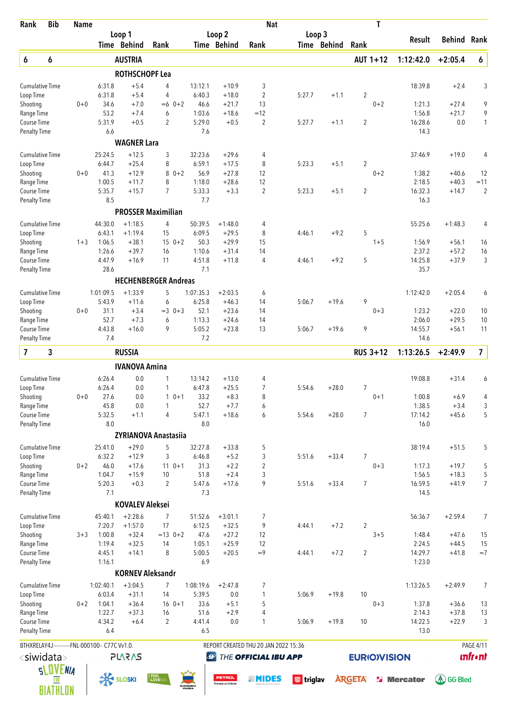| Rank                                | <b>Bib</b>      | <b>Name</b> |                                                |                        |                                   |                   |                       | <b>Nat</b>                           |                  |             |                | T                   |                    |                    |                  |
|-------------------------------------|-----------------|-------------|------------------------------------------------|------------------------|-----------------------------------|-------------------|-----------------------|--------------------------------------|------------------|-------------|----------------|---------------------|--------------------|--------------------|------------------|
|                                     |                 |             |                                                | Loop 1                 |                                   |                   | Loop 2                |                                      | Loop 3           |             |                |                     | Result             | <b>Behind Rank</b> |                  |
|                                     |                 |             |                                                | Time Behind            | Rank                              |                   | Time Behind           | Rank                                 |                  | Time Behind | Rank           |                     |                    |                    |                  |
| $\boldsymbol{6}$                    | 6               |             |                                                | <b>AUSTRIA</b>         |                                   |                   |                       |                                      |                  |             |                | <b>AUT 1+12</b>     | 1:12:42.0          | $+2:05.4$          | 6                |
|                                     |                 |             |                                                | <b>ROTHSCHOPF Lea</b>  |                                   |                   |                       |                                      |                  |             |                |                     |                    |                    |                  |
| <b>Cumulative Time</b>              |                 |             | 6:31.8                                         | $+5.4$                 | 4                                 | 13:12.1           | $+10.9$               | 3                                    |                  |             |                |                     | 18:39.8            | $+2.4$             | 3                |
| Loop Time<br>Shooting               |                 | $0+0$       | 6:31.8<br>34.6                                 | $+5.4$<br>$+7.0$       | 4<br>$=6$ 0+2                     | 6:40.3<br>46.6    | $+18.0$<br>$+21.7$    | 2<br>13                              | 5:27.7           | $+1.1$      | $\overline{2}$ | $0 + 2$             | 1:21.3             | $+27.4$            | 9                |
| Range Time                          |                 |             | 53.2                                           | $+7.4$                 | 6                                 | 1:03.6            | $+18.6$               | $=12$                                |                  |             |                |                     | 1:56.8             | $+21.7$            | 9                |
| Course Time                         |                 |             | 5:31.9                                         | $+0.5$                 | $\overline{2}$                    | 5:29.0            | $+0.5$                | $\overline{2}$                       | 5:27.7           | $+1.1$      | $\overline{2}$ |                     | 16:28.6            | 0.0                | 1                |
| <b>Penalty Time</b>                 |                 |             | 6.6                                            |                        |                                   | 7.6               |                       |                                      |                  |             |                |                     | 14.3               |                    |                  |
|                                     |                 |             |                                                | <b>WAGNER Lara</b>     |                                   |                   |                       |                                      |                  |             |                |                     |                    |                    |                  |
| <b>Cumulative Time</b>              |                 |             | 25:24.5                                        | $+12.5$                | 3                                 | 32:23.6           | $+29.6$               | 4                                    |                  |             |                |                     | 37:46.9            | $+19.0$            | 4                |
| Loop Time<br>Shooting               |                 | $0 + 0$     | 6:44.7<br>41.3                                 | $+25.4$<br>$+12.9$     | 8<br>$80+2$                       | 6:59.1<br>56.9    | $+17.5$<br>$+27.8$    | 8<br>12                              | 5:23.3           | $+5.1$      | $\overline{2}$ | $0 + 2$             | 1:38.2             | $+40.6$            | 12               |
| Range Time                          |                 |             | 1:00.5                                         | $+11.7$                | 8                                 | 1:18.0            | $+28.6$               | 12                                   |                  |             |                |                     | 2:18.5             | $+40.3$            | $=11$            |
| Course Time                         |                 |             | 5:35.7                                         | $+15.7$                | $\overline{7}$                    | 5:33.3            | $+3.3$                | $\overline{2}$                       | 5:23.3           | $+5.1$      | $\overline{2}$ |                     | 16:32.3            | $+14.7$            | $\overline{2}$   |
| <b>Penalty Time</b>                 |                 |             | 8.5                                            |                        |                                   | 7.7               |                       |                                      |                  |             |                |                     | 16.3               |                    |                  |
|                                     |                 |             |                                                |                        | <b>PROSSER Maximilian</b>         |                   |                       |                                      |                  |             |                |                     |                    |                    |                  |
| <b>Cumulative Time</b>              |                 |             | 44:30.0                                        | $+1:18.5$              | 4                                 | 50:39.5           | $+1:48.0$             | 4                                    |                  |             |                |                     | 55:25.6            | $+1:48.3$          | 4                |
| Loop Time                           |                 |             | 6:43.1                                         | $+1:19.4$              | 15                                | 6:09.5            | $+29.5$               | 8                                    | 4:46.1           | $+9.2$      | 5              |                     |                    |                    |                  |
| Shooting                            |                 | $1 + 3$     | 1:06.5<br>1:26.6                               | $+38.1$<br>$+39.7$     | $150+2$<br>16                     | 50.3<br>1:10.6    | $+29.9$<br>$+31.4$    | 15<br>14                             |                  |             |                | $1 + 5$             | 1:56.9<br>2:37.2   | $+56.1$<br>$+57.2$ | 16<br>16         |
| Range Time<br>Course Time           |                 |             | 4:47.9                                         | $+16.9$                | 11                                | 4:51.8            | $+11.8$               | 4                                    | 4:46.1           | $+9.2$      | 5              |                     | 14:25.8            | $+37.9$            | 3                |
| <b>Penalty Time</b>                 |                 |             | 28.6                                           |                        |                                   | 7.1               |                       |                                      |                  |             |                |                     | 35.7               |                    |                  |
|                                     |                 |             |                                                |                        | <b>HECHENBERGER Andreas</b>       |                   |                       |                                      |                  |             |                |                     |                    |                    |                  |
| <b>Cumulative Time</b>              |                 |             | 1:01:09.5                                      | $+1:33.9$              | 5                                 | 1:07:35.3         | $+2:03.5$             | 6                                    |                  |             |                |                     | 1:12:42.0          | $+2:05.4$          | 6                |
| Loop Time                           |                 |             | 5:43.9                                         | $+11.6$                | 6                                 | 6:25.8            | $+46.3$               | 14                                   | 5:06.7           | $+19.6$     | 9              |                     |                    |                    |                  |
| Shooting                            |                 | $0 + 0$     | 31.1                                           | $+3.4$                 | $=3$ 0+3                          | 52.1              | $+23.6$               | 14                                   |                  |             |                | $0 + 3$             | 1:23.2             | $+22.0$            | 10               |
| Range Time                          |                 |             | 52.7                                           | $+7.3$                 | 6                                 | 1:13.3            | $+24.6$               | 14                                   |                  |             |                |                     | 2:06.0             | $+29.5$            | 10               |
| Course Time                         |                 |             | 4:43.8<br>7.4                                  | $+16.0$                | 9                                 | 5:05.2<br>7.2     | $+23.8$               | 13                                   | 5:06.7           | $+19.6$     | 9              |                     | 14:55.7<br>14.6    | $+56.1$            | 11               |
| Penalty Time                        |                 |             |                                                |                        |                                   |                   |                       |                                      |                  |             |                |                     |                    |                    |                  |
| $\overline{\mathbf{z}}$             | 3               |             |                                                | <b>RUSSIA</b>          |                                   |                   |                       |                                      |                  |             |                | <b>RUS 3+12</b>     | 1:13:26.5          | $+2:49.9$          | $\overline{7}$   |
|                                     |                 |             |                                                | <b>IVANOVA Amina</b>   |                                   |                   |                       |                                      |                  |             |                |                     |                    |                    |                  |
| <b>Cumulative Time</b>              |                 |             | 6:26.4                                         | 0.0                    | 1                                 | 13:14.2           | $+13.0$               | 4                                    |                  |             |                |                     | 19:08.8            | $+31.4$            | 6                |
| Loop Time                           |                 |             | 6:26.4                                         | 0.0                    | $\mathbf{1}$                      | 6:47.8            | $+25.5$               | $\overline{7}$                       | 5:54.6           | $+28.0$     | $\overline{7}$ |                     |                    |                    |                  |
| Shooting                            |                 | $0+0$       | 27.6                                           | 0.0                    | $1 \t 0+1$                        | 33.2              | $+8.3$                | 8                                    |                  |             |                | $0 + 1$             | 1:00.8             | $+6.9$             | 4                |
| Range Time<br>Course Time           |                 |             | 45.8<br>5:32.5                                 | 0.0<br>$+1.1$          | 1<br>4                            | 52.7<br>5:47.1    | $+7.7$<br>$+18.6$     | 6<br>6                               | 5:54.6           | $+28.0$     | 7              |                     | 1:38.5<br>17:14.2  | $+3.4$<br>$+45.6$  | 3<br>5           |
| <b>Penalty Time</b>                 |                 |             | 8.0                                            |                        |                                   | 8.0               |                       |                                      |                  |             |                |                     | 16.0               |                    |                  |
|                                     |                 |             |                                                |                        | <b>ZYRIANOVA Anastasiia</b>       |                   |                       |                                      |                  |             |                |                     |                    |                    |                  |
| <b>Cumulative Time</b>              |                 |             | 25:41.0                                        | $+29.0$                | 5                                 | 32:27.8           | $+33.8$               | 5                                    |                  |             |                |                     | 38:19.4            | $+51.5$            | 5                |
| Loop Time                           |                 |             | 6:32.2                                         | $+12.9$                | 3                                 | 6:46.8            | $+5.2$                | 3                                    | 5:51.6           | $+33.4$     | 7              |                     |                    |                    |                  |
| Shooting                            |                 | $0 + 2$     | 46.0                                           | $+17.6$                | $110+1$                           | 31.3              | $+2.2$                | $\overline{2}$                       |                  |             |                | $0 + 3$             | 1:17.3             | $+19.7$            | 5                |
| Range Time                          |                 |             | 1:04.7                                         | $+15.9$                | 10                                | 51.8              | $+2.4$                | 3                                    |                  |             |                |                     | 1:56.5             | $+18.3$            | 5                |
| Course Time                         |                 |             | 5:20.3<br>7.1                                  | $+0.3$                 | $\overline{2}$                    | 5:47.6<br>7.3     | $+17.6$               | 9                                    | 5:51.6           | $+33.4$     | $\overline{7}$ |                     | 16:59.5<br>14.5    | $+41.9$            | $\overline{7}$   |
| <b>Penalty Time</b>                 |                 |             |                                                |                        |                                   |                   |                       |                                      |                  |             |                |                     |                    |                    |                  |
|                                     |                 |             |                                                | <b>KOVALEV Aleksei</b> |                                   |                   |                       |                                      |                  |             |                |                     |                    |                    |                  |
| <b>Cumulative Time</b><br>Loop Time |                 |             | 45:40.1<br>7:20.7                              | $+2:28.6$<br>$+1:57.0$ | 7<br>17                           | 51:52.6<br>6:12.5 | $+3:01.1$<br>$+32.5$  | 7<br>9                               | 4:44.1           | $+7.2$      | 2              |                     | 56:36.7            | $+2:59.4$          | 7                |
| Shooting                            |                 | $3 + 3$     | 1:00.8                                         | $+32.4$                | $= 13$ 0+2                        | 47.6              | $+27.2$               | 12                                   |                  |             |                | $3 + 5$             | 1:48.4             | $+47.6$            | 15               |
| Range Time                          |                 |             | 1:19.4                                         | $+32.5$                | 14                                | 1:05.1            | $+25.9$               | 12                                   |                  |             |                |                     | 2:24.5             | $+44.5$            | 15               |
| Course Time                         |                 |             | 4:45.1                                         | $+14.1$                | 8                                 | 5:00.5            | $+20.5$               | $=9$                                 | 4:44.1           | $+7.2$      | $\overline{2}$ |                     | 14:29.7            | $+41.8$            | $=7$             |
| <b>Penalty Time</b>                 |                 |             | 1:16.1                                         |                        |                                   | 6.9               |                       |                                      |                  |             |                |                     | 1:23.0             |                    |                  |
|                                     |                 |             |                                                |                        | <b>KORNEV Aleksandr</b>           |                   |                       |                                      |                  |             |                |                     |                    |                    |                  |
| <b>Cumulative Time</b>              |                 |             | 1:02:40.1                                      | $+3:04.5$              | 7                                 | 1:08:19.6         | $+2:47.8$             | 7                                    |                  |             |                |                     | 1:13:26.5          | $+2:49.9$          | 7                |
| Loop Time                           |                 |             | 6:03.4                                         | $+31.1$                | 14                                | 5:39.5            | 0.0                   | $\mathbf{1}$                         | 5:06.9           | $+19.8$     | 10             |                     |                    |                    |                  |
| Shooting<br>Range Time              |                 | $0 + 2$     | 1:04.1<br>1:22.7                               | $+36.4$<br>$+37.3$     | $160+1$<br>16                     | 33.6<br>51.6      | $+5.1$<br>$+2.9$      | 5<br>4                               |                  |             |                | $0 + 3$             | 1:37.8<br>2:14.3   | $+36.6$<br>$+37.8$ | 13<br>13         |
| Course Time                         |                 |             | 4:34.2                                         | $+6.4$                 | 2                                 | 4:41.4            | 0.0                   | 1                                    | 5:06.9           | $+19.8$     | 10             |                     | 14:22.5            | $+22.9$            | 3                |
| <b>Penalty Time</b>                 |                 |             | 6.4                                            |                        |                                   | 6.5               |                       |                                      |                  |             |                |                     | 13.0               |                    |                  |
|                                     |                 |             | BTHXRELAY4J-----------FNL-000100-- C77C Vv1.0. |                        |                                   |                   |                       | REPORT CREATED THU 20 JAN 2022 15:36 |                  |             |                |                     |                    |                    | <b>PAGE 4/11</b> |
| <siwidata></siwidata>               |                 |             |                                                | <b>PLARAS</b>          |                                   |                   | $\bigcirc$            | THE OFFICIAL IBU APP                 |                  |             |                | <b>EURIO)VISION</b> |                    |                    | <b>unfront</b>   |
|                                     |                 |             |                                                |                        |                                   |                   |                       |                                      |                  |             |                |                     |                    |                    |                  |
|                                     | <b>SLOVENIA</b> |             | <b>K SLOSKI</b>                                |                        | <b>I FEEL</b><br>S <b>LOVE</b> NI |                   | PETROL                | <b>TMIDES</b>                        | <b>U</b> triglav |             | <b>ARGETA</b>  |                     | <b>Si</b> Mercator | (系) GG Bled        |                  |
|                                     | FOR             |             |                                                |                        |                                   | SLOVENSKA         | Energija za življenje |                                      |                  |             |                |                     |                    |                    |                  |
|                                     | BIATHLON        |             |                                                |                        |                                   |                   |                       |                                      |                  |             |                |                     |                    |                    |                  |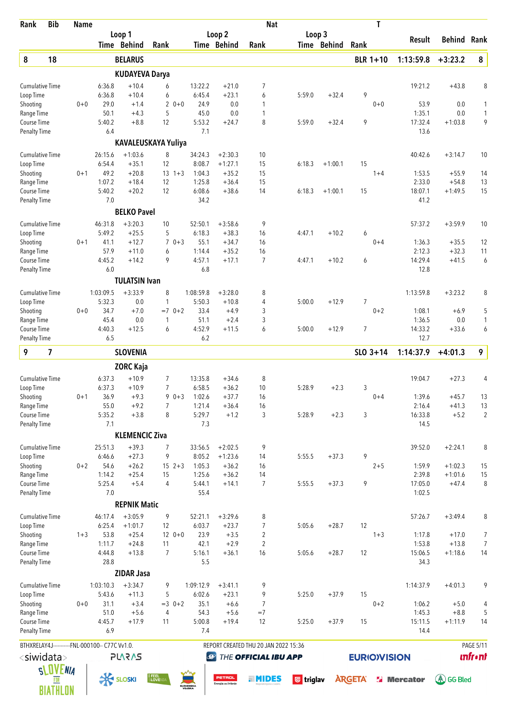| Rank                                      | <b>Bib</b>      | Name    |                                                |                       |                    |            |                   |                        | <b>Nat</b>                           |                                 |             |                | T                  |                   |                    |                     |
|-------------------------------------------|-----------------|---------|------------------------------------------------|-----------------------|--------------------|------------|-------------------|------------------------|--------------------------------------|---------------------------------|-------------|----------------|--------------------|-------------------|--------------------|---------------------|
|                                           |                 |         |                                                | Loop 1                |                    |            |                   | Loop 2                 |                                      | Loop 3                          |             |                |                    | Result            | <b>Behind Rank</b> |                     |
|                                           |                 |         |                                                | Time Behind           | Rank               |            |                   | Time Behind            | Rank                                 |                                 | Time Behind | Rank           |                    |                   |                    |                     |
| 8                                         | 18              |         |                                                | <b>BELARUS</b>        |                    |            |                   |                        |                                      |                                 |             |                | <b>BLR 1+10</b>    | 1:13:59.8         | $+3:23.2$          | 8                   |
|                                           |                 |         |                                                | <b>KUDAYEVA Darya</b> |                    |            |                   |                        |                                      |                                 |             |                |                    |                   |                    |                     |
| <b>Cumulative Time</b>                    |                 |         | 6:36.8                                         | $+10.4$               | 6                  |            | 13:22.2           | $+21.0$                | $\overline{7}$                       |                                 |             |                |                    | 19:21.2           | $+43.8$            | 8                   |
| Loop Time                                 |                 |         | 6:36.8                                         | $+10.4$               | 6                  |            | 6:45.4            | $+23.1$                | 6                                    | 5:59.0                          | $+32.4$     | 9              |                    |                   |                    |                     |
| Shooting                                  |                 | $0 + 0$ | 29.0                                           | $+1.4$                | $\overline{2}$     | $0 + 0$    | 24.9              | 0.0                    | 1                                    |                                 |             |                | $0 + 0$            | 53.9              | 0.0                | 1                   |
| Range Time<br>Course Time                 |                 |         | 50.1<br>5:40.2                                 | $+4.3$<br>$+8.8$      | 5<br>12            |            | 45.0<br>5:53.2    | 0.0<br>$+24.7$         | 1<br>8                               | 5:59.0                          | $+32.4$     | 9              |                    | 1:35.1<br>17:32.4 | 0.0<br>$+1:03.8$   | 1<br>9              |
| <b>Penalty Time</b>                       |                 |         | 6.4                                            |                       |                    |            | 7.1               |                        |                                      |                                 |             |                |                    | 13.6              |                    |                     |
|                                           |                 |         |                                                | KAVALEUSKAYA Yuliya   |                    |            |                   |                        |                                      |                                 |             |                |                    |                   |                    |                     |
| <b>Cumulative Time</b>                    |                 |         | 26:15.6                                        | $+1:03.6$             | 8                  |            | 34:24.3           | $+2:30.3$              | 10                                   |                                 |             |                |                    | 40:42.6           | $+3:14.7$          | 10                  |
| Loop Time                                 |                 |         | 6:54.4                                         | $+35.1$               | 12                 |            | 8:08.7            | $+1:27.1$              | 15                                   | 6:18.3                          | $+1:00.1$   | 15             |                    |                   |                    |                     |
| Shooting                                  |                 | $0 + 1$ | 49.2                                           | $+20.8$               |                    | $13 \t1+3$ | 1:04.3            | $+35.2$                | 15                                   |                                 |             |                | $1 + 4$            | 1:53.5            | $+55.9$            | 14                  |
| Range Time                                |                 |         | 1:07.2                                         | $+18.4$               | 12                 |            | 1:25.8            | $+36.4$                | 15                                   |                                 |             |                |                    | 2:33.0            | $+54.8$            | 13                  |
| Course Time<br><b>Penalty Time</b>        |                 |         | 5:40.2<br>7.0                                  | $+20.2$               | 12                 |            | 6:08.6<br>34.2    | $+38.6$                | 14                                   | 6:18.3                          | $+1:00.1$   | 15             |                    | 18:07.1<br>41.2   | $+1:49.5$          | 15                  |
|                                           |                 |         |                                                | <b>BELKO Pavel</b>    |                    |            |                   |                        |                                      |                                 |             |                |                    |                   |                    |                     |
| <b>Cumulative Time</b>                    |                 |         | 46:31.8                                        | $+3:20.3$             | 10                 |            | 52:50.1           | $+3:58.6$              | 9                                    |                                 |             |                |                    | 57:37.2           | $+3:59.9$          | 10                  |
| Loop Time                                 |                 |         | 5:49.2                                         | $+25.5$               | 5                  |            | 6:18.3            | $+38.3$                | 16                                   | 4:47.1                          | $+10.2$     | 6              |                    |                   |                    |                     |
| Shooting                                  |                 | $0 + 1$ | 41.1                                           | $+12.7$               |                    | $70+3$     | 55.1              | $+34.7$                | 16                                   |                                 |             |                | $0 + 4$            | 1:36.3            | $+35.5$            | 12                  |
| Range Time                                |                 |         | 57.9                                           | $+11.0$               | 6                  |            | 1:14.4            | $+35.2$                | 16                                   |                                 |             |                |                    | 2:12.3            | $+32.3$            | 11                  |
| Course Time                               |                 |         | 4:45.2                                         | $+14.2$               | 9                  |            | 4:57.1            | $+17.1$                | $\overline{7}$                       | 4:47.1                          | $+10.2$     | 6              |                    | 14:29.4           | $+41.5$            | 6                   |
| <b>Penalty Time</b>                       |                 |         | 6.0                                            |                       |                    |            | 6.8               |                        |                                      |                                 |             |                |                    | 12.8              |                    |                     |
|                                           |                 |         |                                                | <b>TULATSIN Ivan</b>  |                    |            |                   |                        |                                      |                                 |             |                |                    |                   |                    |                     |
| <b>Cumulative Time</b>                    |                 |         | 1:03:09.5                                      | $+3:33.9$             | 8                  |            | 1:08:59.8         | $+3:28.0$              | 8                                    |                                 |             |                |                    | 1:13:59.8         | $+3:23.2$          | 8                   |
| Loop Time                                 |                 | $0 + 0$ | 5:32.3<br>34.7                                 | 0.0<br>$+7.0$         | 1                  | $=7$ 0+2   | 5:50.3<br>33.4    | $+10.8$                | 4<br>3                               | 5:00.0                          | $+12.9$     | $\overline{7}$ | $0 + 2$            |                   |                    |                     |
| Shooting<br>Range Time                    |                 |         | 45.4                                           | 0.0                   | 1                  |            | 51.1              | $+4.9$<br>$+2.4$       | 3                                    |                                 |             |                |                    | 1:08.1<br>1:36.5  | $+6.9$<br>0.0      | 5<br>1              |
| Course Time                               |                 |         | 4:40.3                                         | $+12.5$               | 6                  |            | 4:52.9            | $+11.5$                | 6                                    | 5:00.0                          | $+12.9$     | $\overline{7}$ |                    | 14:33.2           | $+33.6$            | 6                   |
| <b>Penalty Time</b>                       |                 |         | 6.5                                            |                       |                    |            | 6.2               |                        |                                      |                                 |             |                |                    | 12.7              |                    |                     |
| 9                                         | 7               |         |                                                | <b>SLOVENIA</b>       |                    |            |                   |                        |                                      |                                 |             |                | $SLO$ 3+14         | 1:14:37.9         | $+4:01.3$          | 9                   |
|                                           |                 |         |                                                | <b>ZORC Kaja</b>      |                    |            |                   |                        |                                      |                                 |             |                |                    |                   |                    |                     |
| <b>Cumulative Time</b>                    |                 |         | 6:37.3                                         | $+10.9$               | 7                  |            | 13:35.8           | $+34.6$                | 8                                    |                                 |             |                |                    | 19:04.7           | $+27.3$            | 4                   |
| Loop Time                                 |                 |         | 6:37.3                                         | $+10.9$               | $\overline{7}$     |            | 6:58.5            | $+36.2$                | 10                                   | 5:28.9                          | $+2.3$      | 3              |                    |                   |                    |                     |
| Shooting                                  |                 | $0 + 1$ | 36.9                                           | $+9.3$                |                    | $90+3$     | 1:02.6            | $+37.7$                | 16                                   |                                 |             |                | $0 + 4$            | 1:39.6            | $+45.7$            | 13                  |
| Range Time                                |                 |         | 55.0                                           | $+9.2$                | 7                  |            | 1:21.4            | $+36.4$                | 16                                   |                                 |             |                |                    | 2:16.4            | $+41.3$            | 13                  |
| Course Time                               |                 |         | 5:35.2                                         | $+3.8$                | 8                  |            | 5:29.7            | $+1.2$                 | 3                                    | 5:28.9                          | $+2.3$      | 3              |                    | 16:33.8           | $+5.2$             | $\overline{2}$      |
| <b>Penalty Time</b>                       |                 |         | 7.1                                            |                       |                    |            | 7.3               |                        |                                      |                                 |             |                |                    | 14.5              |                    |                     |
|                                           |                 |         |                                                | <b>KLEMENCIC Ziva</b> |                    |            |                   |                        |                                      |                                 |             |                |                    |                   |                    |                     |
| <b>Cumulative Time</b>                    |                 |         | 25:51.3<br>6:46.6                              | $+39.3$<br>$+27.3$    | 7<br>9             |            | 33:56.5<br>8:05.2 | $+2:02.5$<br>$+1:23.6$ | 9<br>14                              | 5:55.5                          | $+37.3$     | 9              |                    | 39:52.0           | $+2:24.1$          | 8                   |
| Loop Time<br>Shooting                     |                 | $0 + 2$ | 54.6                                           | $+26.2$               |                    | $15 \t2+3$ | 1:05.3            | $+36.2$                | 16                                   |                                 |             |                | $2 + 5$            | 1:59.9            | $+1:02.3$          | 15                  |
| Range Time                                |                 |         | 1:14.2                                         | $+25.4$               | 15                 |            | 1:25.6            | $+36.2$                | 14                                   |                                 |             |                |                    | 2:39.8            | $+1:01.6$          | 15                  |
| Course Time                               |                 |         | 5:25.4                                         | $+5.4$                | 4                  |            | 5:44.1            | $+14.1$                | $\overline{7}$                       | 5:55.5                          | $+37.3$     | 9              |                    | 17:05.0           | $+47.4$            | 8                   |
| <b>Penalty Time</b>                       |                 |         | 7.0                                            |                       |                    |            | 55.4              |                        |                                      |                                 |             |                |                    | 1:02.5            |                    |                     |
|                                           |                 |         |                                                | <b>REPNIK Matic</b>   |                    |            |                   |                        |                                      |                                 |             |                |                    |                   |                    |                     |
| <b>Cumulative Time</b>                    |                 |         | 46:17.4                                        | $+3:05.9$             | 9                  |            | 52:21.1           | $+3:29.6$              | 8                                    |                                 |             |                |                    | 57:26.7           | $+3:49.4$          | 8                   |
| Loop Time                                 |                 |         | 6:25.4                                         | $+1:01.7$             | 12                 |            | 6:03.7            | $+23.7$                | $\overline{7}$                       | 5:05.6                          | $+28.7$     | 12             |                    |                   |                    |                     |
| Shooting<br>Range Time                    |                 | $1 + 3$ | 53.8<br>1:11.7                                 | $+25.4$<br>$+24.8$    | 11                 | $120+0$    | 23.9<br>42.1      | $+3.5$<br>$+2.9$       | $\overline{2}$<br>$\overline{2}$     |                                 |             |                | $1 + 3$            | 1:17.8<br>1:53.8  | $+17.0$<br>$+13.8$ | $\overline{7}$<br>7 |
| Course Time                               |                 |         | 4:44.8                                         | $+13.8$               | 7                  |            | 5:16.1            | $+36.1$                | 16                                   | 5:05.6                          | $+28.7$     | 12             |                    | 15:06.5           | $+1:18.6$          | 14                  |
| <b>Penalty Time</b>                       |                 |         | 28.8                                           |                       |                    |            | 5.5               |                        |                                      |                                 |             |                |                    | 34.3              |                    |                     |
|                                           |                 |         |                                                | <b>ZIDAR Jasa</b>     |                    |            |                   |                        |                                      |                                 |             |                |                    |                   |                    |                     |
| <b>Cumulative Time</b>                    |                 |         | 1:03:10.3                                      | $+3:34.7$             | 9                  |            | 1:09:12.9         | $+3:41.1$              | 9                                    |                                 |             |                |                    | 1:14:37.9         | $+4:01.3$          | 9                   |
| Loop Time                                 |                 |         | 5:43.6                                         | $+11.3$               | 5                  |            | 6:02.6            | $+23.1$                | 9                                    | 5:25.0                          | $+37.9$     | 15             |                    |                   |                    |                     |
| Shooting                                  |                 | $0 + 0$ | 31.1                                           | $+3.4$                |                    | $=3$ 0+2   | 35.1              | $+6.6$                 | 7                                    |                                 |             |                | $0 + 2$            | 1:06.2            | $+5.0$             | 4                   |
| Range Time                                |                 |         | 51.0                                           | $+5.6$                | 4                  |            | 54.3              | $+5.6$                 | $=7$                                 |                                 |             |                |                    | 1:45.3            | $+8.8$             | 5                   |
| <b>Course Time</b><br><b>Penalty Time</b> |                 |         | 4:45.7<br>6.9                                  | $+17.9$               | 11                 |            | 5:00.8<br>7.4     | $+19.4$                | 12                                   | 5:25.0                          | $+37.9$     | 15             |                    | 15:11.5<br>14.4   | $+1:11.9$          | 14                  |
|                                           |                 |         |                                                |                       |                    |            |                   |                        |                                      |                                 |             |                |                    |                   |                    |                     |
|                                           |                 |         | BTHXRELAY4J-----------FNL-000100-- C77C Vv1.0. |                       |                    |            |                   |                        | REPORT CREATED THU 20 JAN 2022 15:36 |                                 |             |                |                    |                   |                    | <b>PAGE 5/11</b>    |
| <siwidata></siwidata>                     |                 |         |                                                | <b>PLARAS</b>         |                    |            | $\bigcirc$        |                        | THE OFFICIAL IBU APP                 |                                 |             |                | <b>EURIOVISION</b> |                   |                    | <b>unfront</b>      |
|                                           | <b>SLOVENIA</b> |         |                                                | <b>K SLOSKI</b>       | I FEEL<br>SLOVENI. |            |                   | <b>PETROL</b>          | <b>TMIDES</b>                        |                                 |             |                |                    |                   | ( CG Bled          |                     |
|                                           |                 |         |                                                |                       |                    |            | <b>SLOVENSKA</b>  | Energija za življenjo  |                                      | $\overline{\mathbf{G}}$ triglav |             | <b>ARGETA</b>  |                    | <b>S</b> Mercator |                    |                     |
|                                           | <b>BIATHLON</b> |         |                                                |                       |                    |            |                   |                        |                                      |                                 |             |                |                    |                   |                    |                     |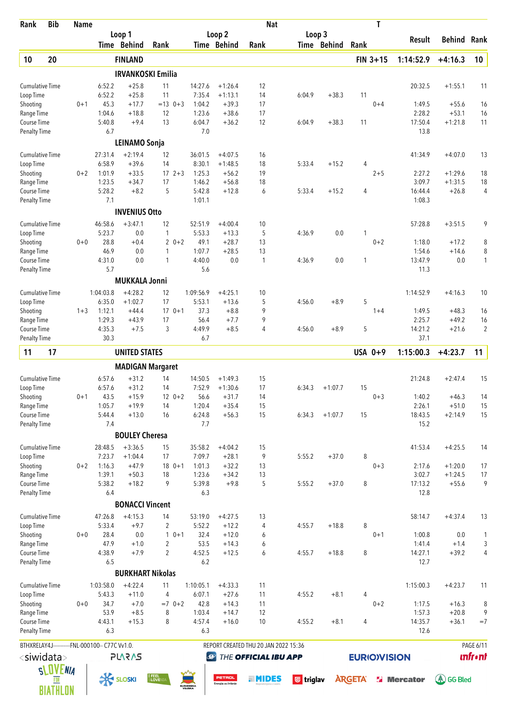| Rank                                | <b>Bib</b>      | <b>Name</b> |                                                |                        |                          |                     |                                 | <b>Nat</b>                           |                                 |             | T                  |                   |                        |                |
|-------------------------------------|-----------------|-------------|------------------------------------------------|------------------------|--------------------------|---------------------|---------------------------------|--------------------------------------|---------------------------------|-------------|--------------------|-------------------|------------------------|----------------|
|                                     |                 |             |                                                | Loop 1                 |                          |                     | Loop 2                          |                                      | Loop 3                          |             |                    | Result            | <b>Behind Rank</b>     |                |
|                                     |                 |             |                                                | Time Behind            | Rank                     |                     | Time Behind                     | Rank                                 |                                 | Time Behind | Rank               |                   |                        |                |
| 10                                  | 20              |             |                                                | <b>FINLAND</b>         |                          |                     |                                 |                                      |                                 |             | $FIN$ 3+15         | 1:14:52.9         | $+4:16.3$              | 10             |
|                                     |                 |             |                                                |                        | <b>IRVANKOSKI Emilia</b> |                     |                                 |                                      |                                 |             |                    |                   |                        |                |
| <b>Cumulative Time</b>              |                 |             | 6:52.2                                         | $+25.8$                | 11                       | 14:27.6             | $+1:26.4$                       | 12                                   |                                 |             |                    | 20:32.5           | $+1:55.1$              | 11             |
| Loop Time<br>Shooting               |                 | $0 + 1$     | 6:52.2<br>45.3                                 | $+25.8$<br>$+17.7$     | 11<br>$=13$ 0+3          | 7:35.4<br>1:04.2    | $+1:13.1$<br>$+39.3$            | 14<br>17                             | 6:04.9                          | $+38.3$     | 11<br>$0 + 4$      | 1:49.5            | $+55.6$                | 16             |
| Range Time                          |                 |             | 1:04.6                                         | $+18.8$                | 12                       | 1:23.6              | $+38.6$                         | 17                                   |                                 |             |                    | 2:28.2            | $+53.1$                | 16             |
| Course Time                         |                 |             | 5:40.8                                         | $+9.4$                 | 13                       | 6:04.7              | $+36.2$                         | 12                                   | 6:04.9                          | $+38.3$     | 11                 | 17:50.4           | $+1:21.8$              | 11             |
| <b>Penalty Time</b>                 |                 |             | 6.7                                            |                        |                          | 7.0                 |                                 |                                      |                                 |             |                    | 13.8              |                        |                |
|                                     |                 |             |                                                | <b>LEINAMO Sonja</b>   |                          |                     |                                 |                                      |                                 |             |                    |                   |                        |                |
| <b>Cumulative Time</b>              |                 |             | 27:31.4                                        | $+2:19.4$              | 12                       | 36:01.5             | $+4:07.5$                       | 16                                   |                                 |             |                    | 41:34.9           | $+4:07.0$              | 13             |
| Loop Time                           |                 |             | 6:58.9                                         | $+39.6$                | 14                       | 8:30.1              | $+1:48.5$                       | 18                                   | 5:33.4                          | $+15.2$     | 4                  |                   |                        |                |
| Shooting                            |                 | $0 + 2$     | 1:01.9<br>1:23.5                               | $+33.5$                | $172+3$<br>17            | 1:25.3<br>1:46.2    | $+56.2$                         | 19<br>18                             |                                 |             | $2 + 5$            | 2:27.2<br>3:09.7  | $+1:29.6$              | 18             |
| Range Time<br>Course Time           |                 |             | 5:28.2                                         | $+34.7$<br>$+8.2$      | 5                        | 5:42.8              | $+56.8$<br>$+12.8$              | 6                                    | 5:33.4                          | $+15.2$     | 4                  | 16:44.4           | $+1:31.5$<br>$+26.8$   | 18<br>4        |
| <b>Penalty Time</b>                 |                 |             | 7.1                                            |                        |                          | 1:01.1              |                                 |                                      |                                 |             |                    | 1:08.3            |                        |                |
|                                     |                 |             |                                                | <b>INVENIUS Otto</b>   |                          |                     |                                 |                                      |                                 |             |                    |                   |                        |                |
| <b>Cumulative Time</b>              |                 |             | 46:58.6                                        | $+3:47.1$              | 12                       | 52:51.9             | $+4:00.4$                       | 10                                   |                                 |             |                    | 57:28.8           | $+3:51.5$              | 9              |
| Loop Time                           |                 |             | 5:23.7                                         | 0.0                    | 1                        | 5:53.3              | $+13.3$                         | 5                                    | 4:36.9                          | 0.0         | 1                  |                   |                        |                |
| Shooting                            |                 | $0 + 0$     | 28.8                                           | $+0.4$                 | $20+2$                   | 49.1                | $+28.7$                         | 13                                   |                                 |             | $0 + 2$            | 1:18.0            | $+17.2$                | 8              |
| Range Time                          |                 |             | 46.9                                           | 0.0                    | 1                        | 1:07.7              | $+28.5$                         | 13                                   |                                 |             |                    | 1:54.6            | $+14.6$                | 8              |
| Course Time                         |                 |             | 4:31.0                                         | 0.0                    | 1                        | 4:40.0              | 0.0                             | $\mathbf{1}$                         | 4:36.9                          | 0.0         | 1                  | 13:47.9           | 0.0                    | $\mathbf{1}$   |
| <b>Penalty Time</b>                 |                 |             | 5.7                                            |                        |                          | 5.6                 |                                 |                                      |                                 |             |                    | 11.3              |                        |                |
|                                     |                 |             |                                                | <b>MUKKALA Jonni</b>   |                          |                     |                                 |                                      |                                 |             |                    |                   |                        |                |
| <b>Cumulative Time</b>              |                 |             | 1:04:03.8                                      | $+4:28.2$              | 12                       | 1:09:56.9           | $+4:25.1$                       | 10                                   |                                 |             |                    | 1:14:52.9         | $+4:16.3$              | 10             |
| Loop Time<br>Shooting               |                 | $1 + 3$     | 6:35.0<br>1:12.1                               | $+1:02.7$<br>$+44.4$   | 17<br>$170+1$            | 5:53.1<br>37.3      | $+13.6$<br>$+8.8$               | 5<br>9                               | 4:56.0                          | $+8.9$      | 5<br>$1 + 4$       | 1:49.5            | $+48.3$                | 16             |
| Range Time                          |                 |             | 1:29.3                                         | $+43.9$                | 17                       | 56.4                | $+7.7$                          | 9                                    |                                 |             |                    | 2:25.7            | $+49.2$                | 16             |
| Course Time                         |                 |             | 4:35.3                                         | $+7.5$                 | 3                        | 4:49.9              | $+8.5$                          | 4                                    | 4:56.0                          | $+8.9$      | 5                  | 14:21.2           | $+21.6$                | 2              |
| <b>Penalty Time</b>                 |                 |             | 30.3                                           |                        |                          | 6.7                 |                                 |                                      |                                 |             |                    | 37.1              |                        |                |
| 11                                  | 17              |             |                                                | <b>UNITED STATES</b>   |                          |                     |                                 |                                      |                                 |             | USA 0+9            | 1:15:00.3         | $+4:23.7$              | 11             |
|                                     |                 |             |                                                |                        | <b>MADIGAN Margaret</b>  |                     |                                 |                                      |                                 |             |                    |                   |                        |                |
| <b>Cumulative Time</b>              |                 |             | 6:57.6                                         | $+31.2$                | 14                       | 14:50.5             | $+1:49.3$                       | 15                                   |                                 |             |                    | 21:24.8           | $+2:47.4$              | 15             |
| Loop Time                           |                 |             | 6:57.6                                         | $+31.2$                | 14                       | 7:52.9              | $+1:30.6$                       | 17                                   | 6:34.3                          | $+1:07.7$   | 15                 |                   |                        |                |
| Shooting                            |                 | $0 + 1$     | 43.5                                           | $+15.9$                | $12 \t 0+2$              | 56.6                | $+31.7$                         | 14                                   |                                 |             | $0 + 3$            | 1:40.2            | $+46.3$                | 14             |
| Range Time                          |                 |             | 1:05.7                                         | $+19.9$                | 14                       | 1:20.4              | $+35.4$                         | 15                                   |                                 |             |                    | 2:26.1            | $+51.0$                | 15             |
| Course Time                         |                 |             | 5:44.4                                         | $+13.0$                | 16                       | 6:24.8              | $+56.3$                         | 15                                   | 6:34.3                          | $+1:07.7$   | 15                 | 18:43.5           | $+2:14.9$              | 15             |
| <b>Penalty Time</b>                 |                 |             | 7.4                                            |                        |                          | 7.7                 |                                 |                                      |                                 |             |                    | 15.2              |                        |                |
|                                     |                 |             |                                                | <b>BOULEY Cheresa</b>  |                          |                     |                                 |                                      |                                 |             |                    |                   |                        |                |
| <b>Cumulative Time</b>              |                 |             | 28:48.5                                        | $+3:36.5$              | 15                       | 35:58.2             | $+4:04.2$                       | 15                                   |                                 |             |                    | 41:53.4           | $+4:25.5$              | 14             |
| Loop Time                           |                 |             | 7:23.7<br>1:16.3                               | $+1:04.4$<br>$+47.9$   | 17<br>$180+1$            | 7:09.7<br>1:01.3    | $+28.1$                         | 9                                    | 5:55.2                          | $+37.0$     | 8                  |                   |                        |                |
| Shooting<br>Range Time              |                 | $0 + 2$     | 1:39.1                                         | $+50.3$                | 18                       | 1:23.6              | $+32.2$<br>$+34.2$              | 13<br>13                             |                                 |             | $0 + 3$            | 2:17.6<br>3:02.7  | $+1:20.0$<br>$+1:24.5$ | 17<br>17       |
| Course Time                         |                 |             | 5:38.2                                         | $+18.2$                | 9                        | 5:39.8              | $+9.8$                          | 5                                    | 5:55.2                          | $+37.0$     | 8                  | 17:13.2           | $+55.6$                | 9              |
| <b>Penalty Time</b>                 |                 |             | 6.4                                            |                        |                          | 6.3                 |                                 |                                      |                                 |             |                    | 12.8              |                        |                |
|                                     |                 |             |                                                | <b>BONACCI Vincent</b> |                          |                     |                                 |                                      |                                 |             |                    |                   |                        |                |
| <b>Cumulative Time</b>              |                 |             | 47:26.8                                        | $+4:15.3$              | 14                       | 53:19.0             | $+4:27.5$                       | 13                                   |                                 |             |                    | 58:14.7           | $+4:37.4$              | 13             |
| Loop Time                           |                 |             | 5:33.4                                         | $+9.7$                 | $\overline{2}$           | 5:52.2              | $+12.2$                         | 4                                    | 4:55.7                          | $+18.8$     | 8                  |                   |                        |                |
| Shooting                            |                 | $0 + 0$     | 28.4                                           | 0.0                    | $10+1$                   | 32.4                | $+12.0$                         | 6                                    |                                 |             | $0 + 1$            | 1:00.8            | $0.0\,$                | $\mathbf{1}$   |
| Range Time                          |                 |             | 47.9                                           | $+1.0$                 | 2                        | 53.5                | $+14.3$                         | 6                                    |                                 |             |                    | 1:41.4            | $+1.4$                 | 3              |
| Course Time<br><b>Penalty Time</b>  |                 |             | 4:38.9<br>6.5                                  | $+7.9$                 | $\overline{2}$           | 4:52.5<br>6.2       | $+12.5$                         | 6                                    | 4:55.7                          | $+18.8$     | 8                  | 14:27.1<br>12.7   | $+39.2$                | 4              |
|                                     |                 |             |                                                |                        | <b>BURKHART Nikolas</b>  |                     |                                 |                                      |                                 |             |                    |                   |                        |                |
|                                     |                 |             |                                                | $+4:22.4$              |                          |                     |                                 |                                      |                                 |             |                    |                   |                        |                |
| <b>Cumulative Time</b><br>Loop Time |                 |             | 1:03:58.0<br>5:43.3                            | $+11.0$                | 11<br>4                  | 1:10:05.1<br>6:07.1 | $+4:33.3$<br>$+27.6$            | 11<br>11                             | 4:55.2                          | $+8.1$      | 4                  | 1:15:00.3         | $+4:23.7$              | 11             |
| Shooting                            |                 | $0 + 0$     | 34.7                                           | $+7.0$                 | $=7$ 0+2                 | 42.8                | $+14.3$                         | 11                                   |                                 |             | $0 + 2$            | 1:17.5            | $+16.3$                | 8              |
| Range Time                          |                 |             | 53.9                                           | $+8.5$                 | 8                        | 1:03.4              | $+14.7$                         | 12                                   |                                 |             |                    | 1:57.3            | $+20.8$                | 9              |
| Course Time                         |                 |             | 4:43.1                                         | $+15.3$                | 8                        | 4:57.4              | $+16.0$                         | 10                                   | 4:55.2                          | $+8.1$      | 4                  | 14:35.7           | $+36.1$                | $=7$           |
| <b>Penalty Time</b>                 |                 |             | 6.3                                            |                        |                          | 6.3                 |                                 |                                      |                                 |             |                    | 12.6              |                        |                |
|                                     |                 |             | BTHXRELAY4J-----------FNL-000100-- C77C Vv1.0. |                        |                          |                     |                                 | REPORT CREATED THU 20 JAN 2022 15:36 |                                 |             |                    |                   |                        | PAGE 6/11      |
| <siwidata></siwidata>               |                 |             |                                                | <b>PLARAS</b>          |                          |                     | $\bigcirc$                      | THE OFFICIAL IBU APP                 |                                 |             | <b>EURIOVISION</b> |                   |                        | <b>unfront</b> |
|                                     | <b>SLOVENIA</b> |             |                                                |                        |                          |                     |                                 |                                      |                                 |             |                    |                   |                        |                |
|                                     |                 |             |                                                | <b>K SLOSKI</b>        | I FEEL<br>SLOVENI        |                     | PETROL<br>Energija za življenje | MIDES                                | $\overline{\mathbf{G}}$ triglav |             | <b>ARGETA</b>      | <b>S</b> Mercator | <u>ී</u> GG Bled       |                |
|                                     | <b>BIATHLON</b> |             |                                                |                        |                          | SLOVENSKA           |                                 |                                      |                                 |             |                    |                   |                        |                |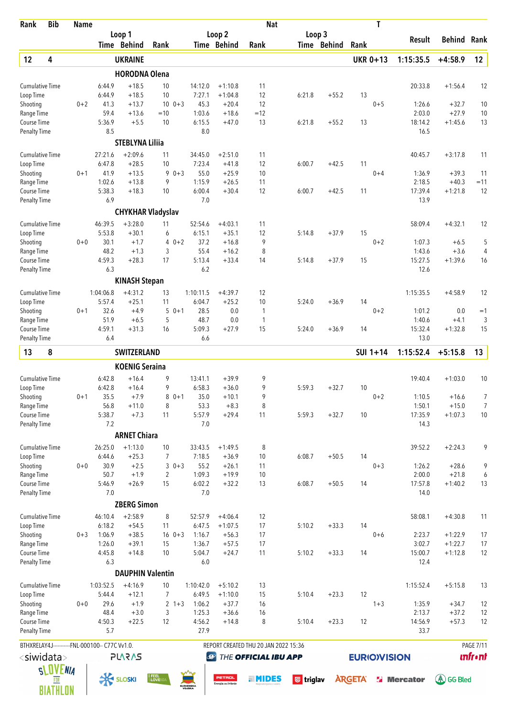| Rank                                | <b>Bib</b>            | <b>Name</b> |                                                |                          |                          |             |                     |                                        | <b>Nat</b>                           |                                 |             |               | T                  |                    |                      |                     |
|-------------------------------------|-----------------------|-------------|------------------------------------------------|--------------------------|--------------------------|-------------|---------------------|----------------------------------------|--------------------------------------|---------------------------------|-------------|---------------|--------------------|--------------------|----------------------|---------------------|
|                                     |                       |             |                                                | Loop 1                   |                          |             |                     | Loop 2                                 |                                      | Loop 3                          |             |               |                    | Result             | <b>Behind</b>        | Rank                |
|                                     |                       |             |                                                | Time Behind              | Rank                     |             |                     | Time Behind                            | Rank                                 |                                 | Time Behind | Rank          |                    |                    |                      |                     |
| 12                                  | 4                     |             |                                                | <b>UKRAINE</b>           |                          |             |                     |                                        |                                      |                                 |             |               | <b>UKR 0+13</b>    | 1:15:35.5          | $+4:58.9$            | 12                  |
|                                     |                       |             |                                                | <b>HORODNA Olena</b>     |                          |             |                     |                                        |                                      |                                 |             |               |                    |                    |                      |                     |
| <b>Cumulative Time</b><br>Loop Time |                       |             | 6:44.9<br>6:44.9                               | $+18.5$<br>$+18.5$       | 10<br>10                 |             | 14:12.0<br>7:27.1   | $+1:10.8$<br>$+1:04.8$                 | 11<br>12                             | 6:21.8                          | $+55.2$     | 13            |                    | 20:33.8            | $+1:56.4$            | 12                  |
| Shooting                            |                       | $0 + 2$     | 41.3                                           | $+13.7$                  |                          | $10 \t 0+3$ | 45.3                | $+20.4$                                | 12                                   |                                 |             |               | $0 + 5$            | 1:26.6             | $+32.7$              | 10                  |
| Range Time                          |                       |             | 59.4                                           | $+13.6$                  | $=10$                    |             | 1:03.6              | $+18.6$                                | $=12$                                |                                 |             |               |                    | 2:03.0             | $+27.9$              | 10                  |
| Course Time                         |                       |             | 5:36.9                                         | $+5.5$                   | 10                       |             | 6:15.5              | $+47.0$                                | 13                                   | 6:21.8                          | $+55.2$     | 13            |                    | 18:14.2            | $+1:45.6$            | 13                  |
| <b>Penalty Time</b>                 |                       |             | 8.5                                            |                          |                          |             | 8.0                 |                                        |                                      |                                 |             |               |                    | 16.5               |                      |                     |
|                                     |                       |             |                                                | <b>STEBLYNA Liliia</b>   |                          |             |                     |                                        |                                      |                                 |             |               |                    |                    |                      |                     |
| <b>Cumulative Time</b><br>Loop Time |                       |             | 27:21.6<br>6:47.8                              | $+2:09.6$<br>$+28.5$     | 11<br>10                 |             | 34:45.0<br>7:23.4   | $+2:51.0$<br>$+41.8$                   | 11<br>12                             | 6:00.7                          | $+42.5$     | 11            |                    | 40:45.7            | $+3:17.8$            | 11                  |
| Shooting                            |                       | $0 + 1$     | 41.9                                           | $+13.5$                  |                          | $90+3$      | 55.0                | $+25.9$                                | 10                                   |                                 |             |               | $0 + 4$            | 1:36.9             | $+39.3$              | 11                  |
| Range Time                          |                       |             | 1:02.6                                         | $+13.8$                  | 9                        |             | 1:15.9              | $+26.5$                                | 11                                   |                                 |             |               |                    | 2:18.5             | $+40.3$              | $=11$               |
| Course Time                         |                       |             | 5:38.3                                         | $+18.3$                  | 10                       |             | 6:00.4              | $+30.4$                                | 12                                   | 6:00.7                          | $+42.5$     | 11            |                    | 17:39.4            | $+1:21.8$            | 12                  |
| <b>Penalty Time</b>                 |                       |             | 6.9                                            |                          |                          |             | 7.0                 |                                        |                                      |                                 |             |               |                    | 13.9               |                      |                     |
|                                     |                       |             |                                                | <b>CHYKHAR Vladyslav</b> |                          |             |                     |                                        |                                      |                                 |             |               |                    |                    |                      |                     |
| <b>Cumulative Time</b>              |                       |             | 46:39.5                                        | $+3:28.0$                | 11                       |             | 52:54.6             | $+4:03.1$                              | 11                                   |                                 |             |               |                    | 58:09.4            | $+4:32.1$            | 12                  |
| Loop Time                           |                       |             | 5:53.8                                         | $+30.1$                  | 6                        |             | 6:15.1              | $+35.1$                                | 12                                   | 5:14.8                          | $+37.9$     | 15            |                    |                    |                      |                     |
| Shooting<br>Range Time              |                       | $0 + 0$     | 30.1<br>48.2                                   | $+1.7$<br>$+1.3$         | 3                        | $40+2$      | 37.2<br>55.4        | $+16.8$<br>$+16.2$                     | 9<br>8                               |                                 |             |               | $0 + 2$            | 1:07.3<br>1:43.6   | $+6.5$<br>$+3.6$     | 5<br>$\overline{4}$ |
| Course Time                         |                       |             | 4:59.3                                         | $+28.3$                  | 17                       |             | 5:13.4              | $+33.4$                                | 14                                   | 5:14.8                          | $+37.9$     | 15            |                    | 15:27.5            | $+1:39.6$            | 16                  |
| <b>Penalty Time</b>                 |                       |             | 6.3                                            |                          |                          |             | 6.2                 |                                        |                                      |                                 |             |               |                    | 12.6               |                      |                     |
|                                     |                       |             |                                                | <b>KINASH Stepan</b>     |                          |             |                     |                                        |                                      |                                 |             |               |                    |                    |                      |                     |
| <b>Cumulative Time</b>              |                       |             | 1:04:06.8                                      | $+4:31.2$                | 13                       |             | 1:10:11.5           | $+4:39.7$                              | 12                                   |                                 |             |               |                    | 1:15:35.5          | $+4:58.9$            | 12                  |
| Loop Time                           |                       |             | 5:57.4                                         | $+25.1$                  | 11                       |             | 6:04.7              | $+25.2$                                | 10                                   | 5:24.0                          | $+36.9$     | 14            |                    |                    |                      |                     |
| Shooting                            |                       | $0 + 1$     | 32.6                                           | $+4.9$                   | 5                        | $0 + 1$     | 28.5                | 0.0                                    | $\mathbf{1}$                         |                                 |             |               | $0 + 2$            | 1:01.2             | 0.0                  | $=1$                |
| Range Time                          |                       |             | 51.9                                           | $+6.5$                   | 5                        |             | 48.7                | 0.0                                    | $\mathbf{1}$                         |                                 |             |               |                    | 1:40.6             | $+4.1$               | 3                   |
| Course Time<br><b>Penalty Time</b>  |                       |             | 4:59.1<br>6.4                                  | $+31.3$                  | 16                       |             | 5:09.3<br>6.6       | $+27.9$                                | 15                                   | 5:24.0                          | $+36.9$     | 14            |                    | 15:32.4<br>13.0    | $+1:32.8$            | 15                  |
| 13                                  | 8                     |             |                                                | <b>SWITZERLAND</b>       |                          |             |                     |                                        |                                      |                                 |             |               | SUI 1+14           | 1:15:52.4          | $+5:15.8$            | 13                  |
|                                     |                       |             |                                                |                          |                          |             |                     |                                        |                                      |                                 |             |               |                    |                    |                      |                     |
|                                     |                       |             |                                                | <b>KOENIG Seraina</b>    |                          |             |                     |                                        |                                      |                                 |             |               |                    |                    |                      |                     |
| <b>Cumulative Time</b>              |                       |             | 6:42.8                                         | $+16.4$                  | 9<br>9                   |             | 13:41.1             | $+39.9$                                | 9                                    |                                 |             |               |                    | 19:40.4            | $+1:03.0$            | 10                  |
| Loop Time<br>Shooting               |                       | $0 + 1$     | 6:42.8<br>35.5                                 | $+16.4$<br>$+7.9$        | 8                        | $0 + 1$     | 6:58.3<br>35.0      | $+36.0$<br>$+10.1$                     | 9<br>9                               | 5:59.3                          | $+32.7$     | 10            | $0 + 2$            | 1:10.5             | $+16.6$              | 7                   |
| Range Time                          |                       |             | 56.8                                           | $+11.0$                  | 8                        |             | 53.3                | $+8.3$                                 | 8                                    |                                 |             |               |                    | 1:50.1             | $+15.0$              | 7                   |
| Course Time                         |                       |             | 5:38.7                                         | $+7.3$                   | 11                       |             | 5:57.9              | $+29.4$                                | 11                                   | 5:59.3                          | $+32.7$     | 10            |                    | 17:35.9            | $+1:07.3$            | $10$                |
| <b>Penalty Time</b>                 |                       |             | 7.2                                            |                          |                          |             | 7.0                 |                                        |                                      |                                 |             |               |                    | 14.3               |                      |                     |
|                                     |                       |             |                                                | <b>ARNET Chiara</b>      |                          |             |                     |                                        |                                      |                                 |             |               |                    |                    |                      |                     |
| <b>Cumulative Time</b>              |                       |             | 26:25.0                                        | $+1:13.0$                | 10                       |             | 33:43.5             | $+1:49.5$                              | 8                                    |                                 |             |               |                    | 39:52.2            | $+2:24.3$            | 9                   |
| Loop Time                           |                       |             | 6:44.6                                         | $+25.3$                  | 7                        |             | 7:18.5              | $+36.9$                                | 10                                   | 6:08.7                          | $+50.5$     | 14            |                    |                    |                      |                     |
| Shooting                            |                       | $0 + 0$     | 30.9<br>50.7                                   | $+2.5$                   | $\overline{2}$           | $30+3$      | 55.2                | $+26.1$                                | 11                                   |                                 |             |               | $0 + 3$            | 1:26.2             | $+28.6$              | 9                   |
| Range Time<br>Course Time           |                       |             | 5:46.9                                         | $+1.9$<br>$+26.9$        | 15                       |             | 1:09.3<br>6:02.2    | $+19.9$<br>$+32.2$                     | 10<br>13                             | 6:08.7                          | $+50.5$     | 14            |                    | 2:00.0<br>17:57.8  | $+21.8$<br>$+1:40.2$ | 6<br>13             |
| <b>Penalty Time</b>                 |                       |             | 7.0                                            |                          |                          |             | 7.0                 |                                        |                                      |                                 |             |               |                    | 14.0               |                      |                     |
|                                     |                       |             |                                                | <b>ZBERG Simon</b>       |                          |             |                     |                                        |                                      |                                 |             |               |                    |                    |                      |                     |
| <b>Cumulative Time</b>              |                       |             | 46:10.4                                        | $+2:58.9$                | 8                        |             | 52:57.9             | $+4:06.4$                              | 12                                   |                                 |             |               |                    | 58:08.1            | $+4:30.8$            | 11                  |
| Loop Time                           |                       |             | 6:18.2                                         | $+54.5$                  | 11                       |             | 6:47.5              | $+1:07.5$                              | 17                                   | 5:10.2                          | $+33.3$     | 14            |                    |                    |                      |                     |
| Shooting                            |                       | $0 + 3$     | 1:06.9                                         | $+38.5$                  |                          | $16 \t 0+3$ | 1:16.7              | $+56.3$                                | 17                                   |                                 |             |               | $0 + 6$            | 2:23.7             | $+1:22.9$            | 17                  |
| Range Time                          |                       |             | 1:26.0                                         | $+39.1$                  | 15                       |             | 1:36.7              | $+57.5$                                | 17                                   |                                 |             |               |                    | 3:02.7             | $+1:22.7$            | 17                  |
| Course Time<br><b>Penalty Time</b>  |                       |             | 4:45.8<br>6.3                                  | $+14.8$                  | 10                       |             | 5:04.7<br>6.0       | $+24.7$                                | 11                                   | 5:10.2                          | $+33.3$     | 14            |                    | 15:00.7<br>12.4    | $+1:12.8$            | 12                  |
|                                     |                       |             |                                                | <b>DAUPHIN Valentin</b>  |                          |             |                     |                                        |                                      |                                 |             |               |                    |                    |                      |                     |
| <b>Cumulative Time</b>              |                       |             | 1:03:52.5                                      | $+4:16.9$                | 10                       |             | 1:10:42.0           | $+5:10.2$                              | 13                                   |                                 |             |               |                    | 1:15:52.4          | $+5:15.8$            | 13                  |
| Loop Time                           |                       |             | 5:44.4                                         | $+12.1$                  | 7                        |             | 6:49.5              | $+1:10.0$                              | 15                                   | 5:10.4                          | $+23.3$     | 12            |                    |                    |                      |                     |
| Shooting                            |                       | $0+0$       | 29.6                                           | $+1.9$                   |                          | $2 + 3$     | 1:06.2              | $+37.7$                                | 16                                   |                                 |             |               | $1 + 3$            | 1:35.9             | $+34.7$              | 12                  |
| Range Time                          |                       |             | 48.4                                           | $+3.0$                   | 3                        |             | 1:25.3              | $+36.6$                                | 16                                   |                                 |             |               |                    | 2:13.7             | $+37.2$              | 12                  |
| Course Time                         |                       |             | 4:50.3                                         | $+22.5$                  | 12                       |             | 4:56.2              | $+14.8$                                | 8                                    | 5:10.4                          | $+23.3$     | 12            |                    | 14:56.9            | $+57.3$              | 12                  |
| <b>Penalty Time</b>                 |                       |             | 5.7                                            |                          |                          |             | 27.9                |                                        |                                      |                                 |             |               |                    | 33.7               |                      |                     |
|                                     |                       |             | BTHXRELAY4J-----------FNL-000100-- C77C Vv1.0. |                          |                          |             |                     |                                        | REPORT CREATED THU 20 JAN 2022 15:36 |                                 |             |               |                    |                    |                      | <b>PAGE 7/11</b>    |
|                                     | <siwidata></siwidata> |             |                                                | <b>PLARAS</b>            |                          |             | $\bigcirc$          |                                        | THE OFFICIAL IBU APP                 |                                 |             |               | <b>EURIOVISION</b> |                    |                      | <b>unfr</b> •nt     |
|                                     | SLOVENIA              |             |                                                |                          |                          |             |                     |                                        |                                      |                                 |             |               |                    |                    |                      |                     |
|                                     | FOR                   |             |                                                | <b>K SLOSKI</b>          | <b>I FEEL</b><br>SLOVENI |             | SLOVENSKA<br>VOJSKA | <b>PETROL</b><br>Energija za življenje | . MIDES                              | $\mathbf{\overline{G}}$ triglav |             | <b>ARGETA</b> |                    | <b>Si</b> Mercator | (《 GG Bled           |                     |
|                                     | <b>BIATHLON</b>       |             |                                                |                          |                          |             |                     |                                        |                                      |                                 |             |               |                    |                    |                      |                     |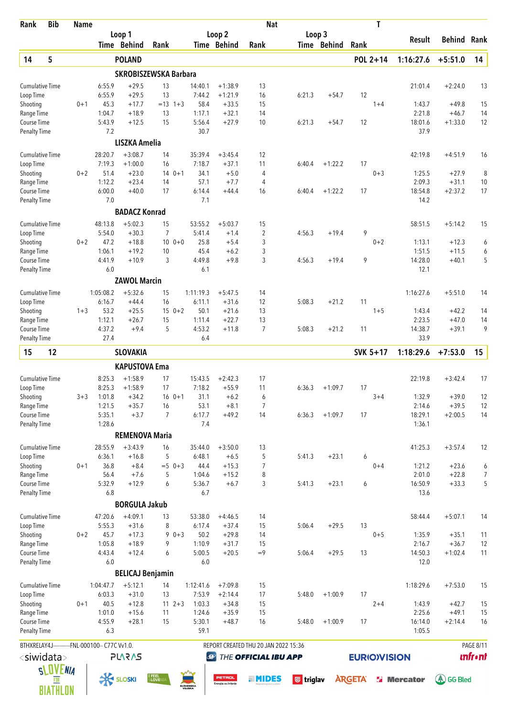| Rank                                | <b>Bib</b>      | <b>Name</b> |                                                |                              |                           |                 |                     |                                  | <b>Nat</b>                           |                                 |             |               | T                   |                    |                    |                  |
|-------------------------------------|-----------------|-------------|------------------------------------------------|------------------------------|---------------------------|-----------------|---------------------|----------------------------------|--------------------------------------|---------------------------------|-------------|---------------|---------------------|--------------------|--------------------|------------------|
|                                     |                 |             |                                                | Loop 1<br>Time Behind        | Rank                      |                 |                     | Loop <sub>2</sub><br>Time Behind | Rank                                 | Loop 3                          | Time Behind | Rank          |                     | Result             | <b>Behind Rank</b> |                  |
| 14                                  | 5               |             |                                                | <b>POLAND</b>                |                           |                 |                     |                                  |                                      |                                 |             |               | POL 2+14            | 1:16:27.6          | $+5:51.0$          | 14               |
|                                     |                 |             |                                                | <b>SKROBISZEWSKA Barbara</b> |                           |                 |                     |                                  |                                      |                                 |             |               |                     |                    |                    |                  |
| Cumulative Time                     |                 |             | 6:55.9                                         | $+29.5$                      | 13                        |                 | 14:40.1             | $+1:38.9$                        | 13                                   |                                 |             |               |                     | 21:01.4            | $+2:24.0$          | 13               |
| Loop Time                           |                 |             | 6:55.9                                         | $+29.5$                      | 13                        |                 | 7:44.2              | $+1:21.9$                        | 16                                   | 6:21.3                          | $+54.7$     | 12            |                     |                    |                    |                  |
| Shooting                            |                 | $0 + 1$     | 45.3                                           | $+17.7$                      |                           | $= 13 \, 1 + 3$ | 58.4                | $+33.5$                          | 15                                   |                                 |             |               | $1 + 4$             | 1:43.7             | $+49.8$            | 15               |
| Range Time                          |                 |             | 1:04.7                                         | $+18.9$                      | 13                        |                 | 1:17.1              | $+32.1$                          | 14                                   |                                 |             |               |                     | 2:21.8             | $+46.7$            | 14               |
| Course Time<br><b>Penalty Time</b>  |                 |             | 5:43.9<br>7.2                                  | $+12.5$                      | 15                        |                 | 5:56.4<br>30.7      | $+27.9$                          | 10                                   | 6:21.3                          | $+54.7$     | 12            |                     | 18:01.6<br>37.9    | $+1:33.0$          | 12               |
|                                     |                 |             |                                                | LISZKA Amelia                |                           |                 |                     |                                  |                                      |                                 |             |               |                     |                    |                    |                  |
| <b>Cumulative Time</b>              |                 |             | 28:20.7                                        | $+3:08.7$                    | 14                        |                 | 35:39.4             | $+3:45.4$                        | 12                                   |                                 |             |               |                     | 42:19.8            | $+4:51.9$          | 16               |
| Loop Time                           |                 |             | 7:19.3                                         | $+1:00.0$                    | 16                        |                 | 7:18.7              | $+37.1$                          | 11                                   | 6:40.4                          | $+1:22.2$   | 17            |                     |                    |                    |                  |
| Shooting                            |                 | $0 + 2$     | 51.4                                           | $+23.0$                      |                           | $140+1$         | 34.1                | $+5.0$                           | 4                                    |                                 |             |               | $0 + 3$             | 1:25.5             | $+27.9$            | 8                |
| Range Time                          |                 |             | 1:12.2                                         | $+23.4$                      | 14                        |                 | 57.1                | $+7.7$                           | 4                                    |                                 |             |               |                     | 2:09.3             | $+31.1$            | 10               |
| Course Time<br><b>Penalty Time</b>  |                 |             | 6:00.0<br>7.0                                  | $+40.0$                      | 17                        |                 | 6:14.4<br>7.1       | $+44.4$                          | 16                                   | 6:40.4                          | $+1:22.2$   | 17            |                     | 18:54.8<br>14.2    | $+2:37.2$          | 17               |
|                                     |                 |             |                                                | <b>BADACZ Konrad</b>         |                           |                 |                     |                                  |                                      |                                 |             |               |                     |                    |                    |                  |
| <b>Cumulative Time</b>              |                 |             | 48:13.8                                        | $+5:02.3$                    | 15                        |                 | 53:55.2             | $+5:03.7$                        | 15                                   |                                 |             |               |                     | 58:51.5            | $+5:14.2$          | 15               |
| Loop Time                           |                 |             | 5:54.0                                         | $+30.3$                      | 7                         |                 | 5:41.4              | $+1.4$                           | $\overline{2}$                       | 4:56.3                          | $+19.4$     | 9             |                     |                    |                    |                  |
| Shooting                            |                 | $0 + 2$     | 47.2                                           | $+18.8$                      |                           | $100 + 0$       | 25.8                | $+5.4$                           | 3                                    |                                 |             |               | $0 + 2$             | 1:13.1             | $+12.3$            | 6                |
| Range Time                          |                 |             | 1:06.1                                         | $+19.2$                      | 10                        |                 | 45.4                | $+6.2$                           | 3                                    |                                 |             |               |                     | 1:51.5             | $+11.5$            | 6                |
| Course Time                         |                 |             | 4:41.9                                         | $+10.9$                      | 3                         |                 | 4:49.8              | $+9.8$                           | 3                                    | 4:56.3                          | $+19.4$     | 9             |                     | 14:28.0            | $+40.1$            | 5                |
| <b>Penalty Time</b>                 |                 |             | 6.0                                            |                              |                           |                 | 6.1                 |                                  |                                      |                                 |             |               |                     | 12.1               |                    |                  |
|                                     |                 |             |                                                | <b>ZAWOL Marcin</b>          |                           |                 |                     |                                  |                                      |                                 |             |               |                     |                    |                    |                  |
| <b>Cumulative Time</b>              |                 |             | 1:05:08.2                                      | $+5:32.6$                    | 15                        |                 | 1:11:19.3           | $+5:47.5$                        | 14                                   |                                 |             |               |                     | 1:16:27.6          | $+5:51.0$          | 14               |
| Loop Time                           |                 |             | 6:16.7<br>53.2                                 | $+44.4$<br>$+25.5$           | 16                        | $15 \t 0+2$     | 6:11.1<br>50.1      | $+31.6$                          | 12                                   | 5:08.3                          | $+21.2$     | 11            |                     |                    |                    |                  |
| Shooting<br>Range Time              |                 | $1 + 3$     | 1:12.1                                         | $+26.7$                      | 15                        |                 | 1:11.4              | $+21.6$<br>$+22.7$               | 13<br>13                             |                                 |             |               | $1 + 5$             | 1:43.4<br>2:23.5   | $+42.2$<br>$+47.0$ | 14<br>14         |
| Course Time                         |                 |             | 4:37.2                                         | $+9.4$                       | 5                         |                 | 4:53.2              | $+11.8$                          | $\overline{7}$                       | 5:08.3                          | $+21.2$     | 11            |                     | 14:38.7            | $+39.1$            | 9                |
| <b>Penalty Time</b>                 |                 |             | 27.4                                           |                              |                           |                 | 6.4                 |                                  |                                      |                                 |             |               |                     | 33.9               |                    |                  |
| 15                                  | 12              |             |                                                | <b>SLOVAKIA</b>              |                           |                 |                     |                                  |                                      |                                 |             |               | SVK 5+17            | 1:18:29.6          | $+7:53.0$          | 15               |
|                                     |                 |             |                                                | <b>KAPUSTOVA Ema</b>         |                           |                 |                     |                                  |                                      |                                 |             |               |                     |                    |                    |                  |
| <b>Cumulative Time</b>              |                 |             | 8:25.3                                         | $+1:58.9$                    | 17                        |                 | 15:43.5             | $+2:42.3$                        | 17                                   |                                 |             |               |                     | 22:19.8            | $+3:42.4$          | 17               |
| Loop Time                           |                 |             | 8:25.3                                         | $+1:58.9$                    | 17                        |                 | 7:18.2              | $+55.9$                          | 11                                   | 6:36.3                          | $+1:09.7$   | 17            |                     |                    |                    |                  |
| Shooting                            |                 | $3 + 3$     | 1:01.8                                         | $+34.2$                      |                           | $16 \t 0+1$     | 31.1                | $+6.2$                           | 6                                    |                                 |             |               | $3+4$               | 1:32.9             | $+39.0$            | 12               |
| Range Time                          |                 |             | 1:21.5                                         | $+35.7$                      | 16                        |                 | 53.1                | $+8.1$                           | 7                                    |                                 |             |               |                     | 2:14.6             | $+39.5$            | 12               |
| Course Time                         |                 |             | 5:35.1                                         | $+3.7$                       | $\overline{7}$            |                 | 6:17.7              | $+49.2$                          | 14                                   | 6:36.3                          | $+1:09.7$   | 17            |                     | 18:29.1            | $+2:00.5$          | 14               |
| <b>Penalty Time</b>                 |                 |             | 1:28.6                                         |                              |                           |                 | 7.4                 |                                  |                                      |                                 |             |               |                     | 1:36.1             |                    |                  |
|                                     |                 |             |                                                | <b>REMENOVA Maria</b>        |                           |                 |                     |                                  |                                      |                                 |             |               |                     |                    |                    |                  |
| <b>Cumulative Time</b>              |                 |             | 28:55.9                                        | $+3:43.9$                    | 16                        |                 | 35:44.0             | $+3:50.0$                        | 13                                   |                                 |             |               |                     | 41:25.3            | $+3:57.4$          | 12               |
| Loop Time                           |                 |             | 6:36.1                                         | $+16.8$                      | 5                         |                 | 6:48.1              | $+6.5$                           | 5                                    | 5:41.3                          | $+23.1$     | 6             |                     |                    |                    |                  |
| Shooting<br>Range Time              |                 | $0 + 1$     | 36.8<br>56.4                                   | $+8.4$<br>$+7.6$             | 5                         | $=5$ 0+3        | 44.4<br>1:04.6      | $+15.3$<br>$+15.2$               | $\overline{7}$<br>8                  |                                 |             |               | $0 + 4$             | 1:21.2<br>2:01.0   | $+23.6$<br>$+22.8$ | 6<br>7           |
| Course Time                         |                 |             | 5:32.9                                         | $+12.9$                      | 6                         |                 | 5:36.7              | $+6.7$                           | 3                                    | 5:41.3                          | $+23.1$     | 6             |                     | 16:50.9            | $+33.3$            | 5                |
| <b>Penalty Time</b>                 |                 |             | 6.8                                            |                              |                           |                 | 6.7                 |                                  |                                      |                                 |             |               |                     | 13.6               |                    |                  |
|                                     |                 |             |                                                | <b>BORGULA Jakub</b>         |                           |                 |                     |                                  |                                      |                                 |             |               |                     |                    |                    |                  |
| <b>Cumulative Time</b>              |                 |             | 47:20.6                                        | $+4:09.1$                    | 13                        |                 | 53:38.0             | $+4:46.5$                        | 14                                   |                                 |             |               |                     | 58:44.4            | $+5:07.1$          | 14               |
| Loop Time                           |                 |             | 5:55.3                                         | $+31.6$                      | 8                         |                 | 6:17.4              | $+37.4$                          | 15                                   | 5:06.4                          | $+29.5$     | 13            |                     |                    |                    |                  |
| Shooting                            |                 | $0 + 2$     | 45.7                                           | $+17.3$                      | 9                         | $0 + 3$         | 50.2                | $+29.8$                          | 14                                   |                                 |             |               | $0 + 5$             | 1:35.9             | $+35.1$            | 11               |
| Range Time                          |                 |             | 1:05.8                                         | $+18.9$                      | 9                         |                 | 1:10.9              | $+31.7$                          | 15                                   |                                 |             |               |                     | 2:16.7             | $+36.7$            | 12               |
| Course Time                         |                 |             | 4:43.4                                         | $+12.4$                      | 6                         |                 | 5:00.5              | $+20.5$                          | $=9$                                 | 5:06.4                          | $+29.5$     | 13            |                     | 14:50.3            | $+1:02.4$          | 11               |
| <b>Penalty Time</b>                 |                 |             | 6.0                                            |                              |                           |                 | 6.0                 |                                  |                                      |                                 |             |               |                     | 12.0               |                    |                  |
|                                     |                 |             |                                                | <b>BELICAJ Benjamin</b>      |                           |                 |                     |                                  |                                      |                                 |             |               |                     |                    |                    |                  |
| <b>Cumulative Time</b><br>Loop Time |                 |             | 1:04:47.7<br>6:03.3                            | $+5:12.1$<br>$+31.0$         | 14<br>13                  |                 | 1:12:41.6<br>7:53.9 | $+7:09.8$<br>$+2:14.4$           | 15<br>17                             | 5:48.0                          | $+1:00.9$   | 17            |                     | 1:18:29.6          | $+7:53.0$          | 15               |
| Shooting                            |                 | $0 + 1$     | 40.5                                           | $+12.8$                      |                           | $11 \t2+3$      | 1:03.3              | $+34.8$                          | 15                                   |                                 |             |               | $2 + 4$             | 1:43.9             | $+42.7$            | 15               |
| Range Time                          |                 |             | 1:01.0                                         | $+15.6$                      | 11                        |                 | 1:24.6              | $+35.9$                          | 15                                   |                                 |             |               |                     | 2:25.6             | $+49.1$            | 15               |
| Course Time                         |                 |             | 4:55.9                                         | $+28.1$                      | 15                        |                 | 5:30.1              | $+48.7$                          | 16                                   | 5:48.0                          | $+1:00.9$   | 17            |                     | 16:14.0            | $+2:14.4$          | 16               |
| <b>Penalty Time</b>                 |                 |             | 6.3                                            |                              |                           |                 | 59.1                |                                  |                                      |                                 |             |               |                     | 1:05.5             |                    |                  |
|                                     |                 |             | BTHXRELAY4J-----------FNL-000100-- C77C Vv1.0. |                              |                           |                 |                     |                                  | REPORT CREATED THU 20 JAN 2022 15:36 |                                 |             |               |                     |                    |                    | <b>PAGE 8/11</b> |
| $<$ siwidata $>$                    |                 |             |                                                | <b>PLARAS</b>                |                           |                 |                     | $\bigcirc$                       | THE OFFICIAL IBU APP                 |                                 |             |               | <b>EURIO)VISION</b> |                    |                    | <b>unfr</b> •nt  |
|                                     | <b>SLOVENIA</b> |             |                                                |                              |                           |                 |                     |                                  |                                      |                                 |             |               |                     |                    |                    |                  |
|                                     | FOR             |             |                                                | <b>K SLOSKI</b>              | <b>I FEEL</b><br>SLOVENI/ |                 | SLOVENSKA<br>VOJSKA | PETROL<br>Energija za življenje  | . MIDES                              | $\overline{\mathbf{G}}$ triglav |             | <b>ARGETA</b> |                     | <b>Si</b> Mercator | <b>A</b> GG Bled   |                  |
|                                     | <b>BIATHLON</b> |             |                                                |                              |                           |                 |                     |                                  |                                      |                                 |             |               |                     |                    |                    |                  |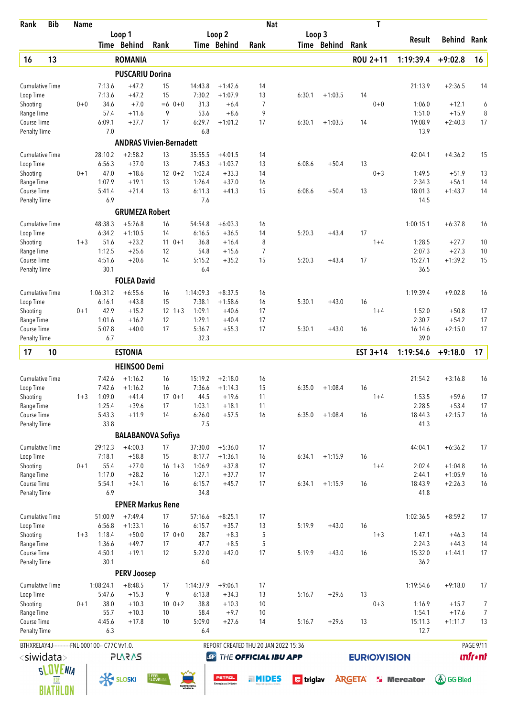| Loop 3<br>Loop 1<br>Loop 2<br>Behind<br>Rank<br>Result<br>Time Behind<br>Time Behind<br>Time Behind<br>Rank<br>Rank<br>Rank<br>16<br>13<br><b>ROMANIA</b><br>ROU 2+11<br>1:19:39.4<br>16<br>$+9:02.8$<br><b>PUSCARIU Dorina</b><br>$+47.2$<br><b>Cumulative Time</b><br>7:13.6<br>15<br>14:43.8<br>14<br>21:13.9<br>$+2:36.5$<br>14<br>$+1:42.6$<br>$+47.2$<br>7:30.2<br>13<br>Loop Time<br>7:13.6<br>15<br>$+1:07.9$<br>6:30.1<br>$+1:03.5$<br>14<br>$+7.0$<br>$\overline{7}$<br>$0 + 0$<br>34.6<br>$=6$ 0+0<br>31.3<br>$+6.4$<br>$0 + 0$<br>1:06.0<br>$+12.1$<br>Shooting<br>6<br>9<br>57.4<br>9<br>$+8.6$<br>$+15.9$<br>8<br>$+11.6$<br>53.6<br>1:51.0<br>Range Time<br>6:09.1<br>17<br>6:29.7<br>17<br>19:08.9<br>17<br>Course Time<br>$+37.7$<br>$+1:01.2$<br>6:30.1<br>$+1:03.5$<br>14<br>$+2:40.3$<br>7.0<br>6.8<br>13.9<br><b>Penalty Time</b><br><b>ANDRAS Vivien-Bernadett</b><br>28:10.2<br>$+2:58.2$<br>15<br><b>Cumulative Time</b><br>13<br>35:55.5<br>$+4:01.5$<br>14<br>42:04.1<br>$+4:36.2$<br>6:56.3<br>$+37.0$<br>7:45.3<br>6:08.6<br>13<br>Loop Time<br>13<br>$+1:03.7$<br>13<br>$+50.4$<br>47.0<br>$120+2$<br>1:02.4<br>14<br>$0 + 3$<br>Shooting<br>$0 + 1$<br>$+18.6$<br>$+33.3$<br>1:49.5<br>$+51.9$<br>13<br>1:07.9<br>Range Time<br>$+19.1$<br>13<br>1:26.4<br>$+37.0$<br>16<br>2:34.3<br>$+56.1$<br>14<br>6:11.3<br>15<br>18:01.3<br>Course Time<br>5:41.4<br>$+21.4$<br>13<br>$+41.3$<br>6:08.6<br>$+50.4$<br>13<br>$+1:43.7$<br>14<br>6.9<br>7.6<br><b>Penalty Time</b><br>14.5<br><b>GRUMEZA Robert</b><br><b>Cumulative Time</b><br>48:38.3<br>$+5:26.8$<br>$+6:03.3$<br>16<br>$+6:37.8$<br>16<br>54:54.8<br>1:00:15.1<br>16<br>6:34.2<br>$+1:10.5$<br>6:16.5<br>5:20.3<br>$+43.4$<br>17<br>Loop Time<br>14<br>$+36.5$<br>14<br>36.8<br>Shooting<br>$1 + 3$<br>51.6<br>$+23.2$<br>$11 \t 0+1$<br>$+16.4$<br>8<br>$1 + 4$<br>1:28.5<br>$+27.7$<br>10<br>$\overline{7}$<br>1:12.5<br>$+25.6$<br>54.8<br>2:07.3<br>$+27.3$<br>10<br>12<br>$+15.6$<br>Range Time<br>5:15.2<br>15<br>Course Time<br>4:51.6<br>$+20.6$<br>14<br>$+35.2$<br>5:20.3<br>$+43.4$<br>17<br>15:27.1<br>$+1:39.2$<br>15<br>30.1<br>6.4<br><b>Penalty Time</b><br>36.5<br><b>FOLEA David</b><br>1:06:31.2<br>$+6:55.6$<br>1:14:09.3<br>$+9:02.8$<br><b>Cumulative Time</b><br>16<br>$+8:37.5$<br>16<br>1:19:39.4<br>16<br>$+43.8$<br>7:38.1<br>$+1:58.6$<br>16<br>Loop Time<br>6:16.1<br>15<br>5:30.1<br>$+43.0$<br>16<br>42.9<br>Shooting<br>$0 + 1$<br>$+15.2$<br>$12 \t1+3$<br>1:09.1<br>$+40.6$<br>17<br>$1 + 4$<br>1:52.0<br>$+50.8$<br>17<br>2:30.7<br>17<br>Range Time<br>1:01.6<br>$+16.2$<br>12<br>1:29.1<br>$+40.4$<br>17<br>$+54.2$<br>17<br>17<br>Course Time<br>5:07.8<br>$+40.0$<br>17<br>5:36.7<br>$+55.3$<br>5:30.1<br>$+43.0$<br>16<br>16:14.6<br>$+2:15.0$<br>32.3<br>39.0<br><b>Penalty Time</b><br>6.7<br>10<br><b>ESTONIA</b><br>17<br>17<br>EST $3+14$<br>1:19:54.6<br>$+9:18.0$<br><b>HEINSOO Demi</b><br><b>Cumulative Time</b><br>7:42.6<br>15:19.2<br>$+2:18.0$<br>16<br>21:54.2<br>$+1:16.2$<br>16<br>$+3:16.8$<br>16<br>15<br>Loop Time<br>7:42.6<br>$+1:16.2$<br>16<br>7:36.6<br>$+1:14.3$<br>6:35.0<br>$+1:08.4$<br>16<br>1:09.0<br>1:53.5<br>$+59.6$<br>Shooting<br>$1 + 3$<br>$+41.4$<br>$17 \t 0+1$<br>44.5<br>$+19.6$<br>11<br>$1 + 4$<br>17<br>1:03.1<br>17<br>1:25.4<br>$+39.6$<br>17<br>$+18.1$<br>11<br>2:28.5<br>$+53.4$<br>Range Time<br>6:26.0<br>5:43.3<br>16<br>$+1:08.4$<br>18:44.3<br>$+2:15.7$<br>16<br>Course Time<br>$+11.9$<br>14<br>$+57.5$<br>6:35.0<br>16<br>33.8<br>7.5<br>41.3<br><b>Penalty Time</b><br><b>BALABANOVA Sofiya</b><br>$+4:00.3$<br><b>Cumulative Time</b><br>29:12.3<br>17<br>37:30.0<br>$+5:36.0$<br>17<br>44:04.1<br>$+6:36.2$<br>17<br>Loop Time<br>7:18.1<br>$+58.8$<br>15<br>8:17.7<br>$+1:36.1$<br>16<br>6:34.1<br>$+1:15.9$<br>16<br>55.4<br>1:06.9<br>Shooting<br>$0 + 1$<br>$+27.0$<br>$16 \t1+3$<br>$+37.8$<br>17<br>$1 + 4$<br>2:02.4<br>$+1:04.8$<br>16<br>1:17.0<br>$+28.2$<br>1:27.1<br>17<br>Range Time<br>16<br>$+37.7$<br>2:44.1<br>$+1:05.9$<br>16<br>5:54.1<br>6:15.7<br>17<br>$+1:15.9$<br>18:43.9<br>Course Time<br>$+34.1$<br>16<br>$+45.7$<br>16<br>$+2:26.3$<br>16<br>6:34.1<br>34.8<br>6.9<br>41.8<br><b>Penalty Time</b><br><b>EPNER Markus Rene</b><br>$+7:49.4$<br><b>Cumulative Time</b><br>51:00.9<br>17<br>57:16.6<br>$+8:25.1$<br>17<br>1:02:36.5<br>$+8:59.2$<br>17<br>6:56.8<br>$+1:33.1$<br>5:19.9<br>16<br>Loop Time<br>16<br>6:15.7<br>$+35.7$<br>13<br>$+43.0$<br>1:18.4<br>$+50.0$<br>$170+0$<br>28.7<br>$+8.3$<br>5<br>$1 + 3$<br>Shooting<br>$1 + 3$<br>1:47.1<br>$+46.3$<br>14<br>47.7<br>$+8.5$<br>5<br>2:24.3<br>Range Time<br>1:36.6<br>$+49.7$<br>17<br>$+44.3$<br>14<br>4:50.1<br>5:22.0<br>17<br>5:19.9<br>$+43.0$<br>15:32.0<br>17<br>Course Time<br>$+19.1$<br>12<br>$+42.0$<br>16<br>$+1:44.1$<br>30.1<br>6.0<br>36.2<br><b>Penalty Time</b><br><b>PERV Joosep</b><br>$+8:48.5$<br>$+9:18.0$<br><b>Cumulative Time</b><br>1:08:24.1<br>17<br>1:14:37.9<br>$+9:06.1$<br>17<br>1:19:54.6<br>17<br>Loop Time<br>5:47.6<br>$+15.3$<br>9<br>6:13.8<br>$+34.3$<br>13<br>5:16.7<br>$+29.6$<br>13<br>38.0<br>$10 \t 0+2$<br>38.8<br>10<br>Shooting<br>$+10.3$<br>$+10.3$<br>$0 + 3$<br>1:16.9<br>$+15.7$<br>7<br>$0 + 1$<br>55.7<br>58.4<br>$+9.7$<br>7<br>$+10.3$<br>10<br>10<br>1:54.1<br>$+17.6$<br>Range Time<br>4:45.6<br>5:09.0<br>$+27.6$<br>$+29.6$<br>15:11.3<br>13<br>Course Time<br>$+17.8$<br>10<br>14<br>5:16.7<br>13<br>$+1:11.7$<br>6.3<br>12.7<br><b>Penalty Time</b><br>6.4<br>BTHXRELAY4J-----------FNL-000100-- C77C Vv1.0.<br>REPORT CREATED THU 20 JAN 2022 15:36<br>PAGE 9/11<br><b>unfront</b><br><siwidata><br/><b>PLARAS</b><br/>THE OFFICIAL IBU APP<br/><b>EURIOVISION</b><br/><math>\bigcirc</math><br/><b>SLOVENIA</b><br/><b>K SLOSKI</b><br/>I FEEL<br/>SLOVENI<br/>PETROL<br/><u>ී</u> GG Bled<br/><b>ARGETA</b><br/>MIDES<br/><b>U</b>triglav<br/><b>S</b> Mercator<br/>Energija za življenje<br/>SLOVENSKA<br/>BIATHLON</siwidata> | Rank | <b>Bib</b> | <b>Name</b> |  |  |  | <b>Nat</b> |  | T |  |  |
|---------------------------------------------------------------------------------------------------------------------------------------------------------------------------------------------------------------------------------------------------------------------------------------------------------------------------------------------------------------------------------------------------------------------------------------------------------------------------------------------------------------------------------------------------------------------------------------------------------------------------------------------------------------------------------------------------------------------------------------------------------------------------------------------------------------------------------------------------------------------------------------------------------------------------------------------------------------------------------------------------------------------------------------------------------------------------------------------------------------------------------------------------------------------------------------------------------------------------------------------------------------------------------------------------------------------------------------------------------------------------------------------------------------------------------------------------------------------------------------------------------------------------------------------------------------------------------------------------------------------------------------------------------------------------------------------------------------------------------------------------------------------------------------------------------------------------------------------------------------------------------------------------------------------------------------------------------------------------------------------------------------------------------------------------------------------------------------------------------------------------------------------------------------------------------------------------------------------------------------------------------------------------------------------------------------------------------------------------------------------------------------------------------------------------------------------------------------------------------------------------------------------------------------------------------------------------------------------------------------------------------------------------------------------------------------------------------------------------------------------------------------------------------------------------------------------------------------------------------------------------------------------------------------------------------------------------------------------------------------------------------------------------------------------------------------------------------------------------------------------------------------------------------------------------------------------------------------------------------------------------------------------------------------------------------------------------------------------------------------------------------------------------------------------------------------------------------------------------------------------------------------------------------------------------------------------------------------------------------------------------------------------------------------------------------------------------------------------------------------------------------------------------------------------------------------------------------------------------------------------------------------------------------------------------------------------------------------------------------------------------------------------------------------------------------------------------------------------------------------------------------------------------------------------------------------------------------------------------------------------------------------------------------------------------------------------------------------------------------------------------------------------------------------------------------------------------------------------------------------------------------------------------------------------------------------------------------------------------------------------------------------------------------------------------------------------------------------------------------------------------------------------------------------------------------------------------------------------------------------------------------------------------------------------------------------------------------------------------------------------------------------------------------------------------------------------------------------------------------------------------------------------------------------------------------------------------------------------------------------------------------------------------------------------------------------------------------------------------------------------------------------------------------------------------------------------------------------------------------------------------------------------------------------------------------------------------------------------------------------------------------------------------------------------------------------------------------------------------------------------------------------------------------------------------------------------------------------------------------------------------------------------------------------------------------------------------------------------------------------|------|------------|-------------|--|--|--|------------|--|---|--|--|
|                                                                                                                                                                                                                                                                                                                                                                                                                                                                                                                                                                                                                                                                                                                                                                                                                                                                                                                                                                                                                                                                                                                                                                                                                                                                                                                                                                                                                                                                                                                                                                                                                                                                                                                                                                                                                                                                                                                                                                                                                                                                                                                                                                                                                                                                                                                                                                                                                                                                                                                                                                                                                                                                                                                                                                                                                                                                                                                                                                                                                                                                                                                                                                                                                                                                                                                                                                                                                                                                                                                                                                                                                                                                                                                                                                                                                                                                                                                                                                                                                                                                                                                                                                                                                                                                                                                                                                                                                                                                                                                                                                                                                                                                                                                                                                                                                                                                                                                                                                                                                                                                                                                                                                                                                                                                                                                                                                                                                                                                                                                                                                                                                                                                                                                                                                                                                                                                                                                                                                                       |      |            |             |  |  |  |            |  |   |  |  |
|                                                                                                                                                                                                                                                                                                                                                                                                                                                                                                                                                                                                                                                                                                                                                                                                                                                                                                                                                                                                                                                                                                                                                                                                                                                                                                                                                                                                                                                                                                                                                                                                                                                                                                                                                                                                                                                                                                                                                                                                                                                                                                                                                                                                                                                                                                                                                                                                                                                                                                                                                                                                                                                                                                                                                                                                                                                                                                                                                                                                                                                                                                                                                                                                                                                                                                                                                                                                                                                                                                                                                                                                                                                                                                                                                                                                                                                                                                                                                                                                                                                                                                                                                                                                                                                                                                                                                                                                                                                                                                                                                                                                                                                                                                                                                                                                                                                                                                                                                                                                                                                                                                                                                                                                                                                                                                                                                                                                                                                                                                                                                                                                                                                                                                                                                                                                                                                                                                                                                                                       |      |            |             |  |  |  |            |  |   |  |  |
|                                                                                                                                                                                                                                                                                                                                                                                                                                                                                                                                                                                                                                                                                                                                                                                                                                                                                                                                                                                                                                                                                                                                                                                                                                                                                                                                                                                                                                                                                                                                                                                                                                                                                                                                                                                                                                                                                                                                                                                                                                                                                                                                                                                                                                                                                                                                                                                                                                                                                                                                                                                                                                                                                                                                                                                                                                                                                                                                                                                                                                                                                                                                                                                                                                                                                                                                                                                                                                                                                                                                                                                                                                                                                                                                                                                                                                                                                                                                                                                                                                                                                                                                                                                                                                                                                                                                                                                                                                                                                                                                                                                                                                                                                                                                                                                                                                                                                                                                                                                                                                                                                                                                                                                                                                                                                                                                                                                                                                                                                                                                                                                                                                                                                                                                                                                                                                                                                                                                                                                       |      |            |             |  |  |  |            |  |   |  |  |
|                                                                                                                                                                                                                                                                                                                                                                                                                                                                                                                                                                                                                                                                                                                                                                                                                                                                                                                                                                                                                                                                                                                                                                                                                                                                                                                                                                                                                                                                                                                                                                                                                                                                                                                                                                                                                                                                                                                                                                                                                                                                                                                                                                                                                                                                                                                                                                                                                                                                                                                                                                                                                                                                                                                                                                                                                                                                                                                                                                                                                                                                                                                                                                                                                                                                                                                                                                                                                                                                                                                                                                                                                                                                                                                                                                                                                                                                                                                                                                                                                                                                                                                                                                                                                                                                                                                                                                                                                                                                                                                                                                                                                                                                                                                                                                                                                                                                                                                                                                                                                                                                                                                                                                                                                                                                                                                                                                                                                                                                                                                                                                                                                                                                                                                                                                                                                                                                                                                                                                                       |      |            |             |  |  |  |            |  |   |  |  |
|                                                                                                                                                                                                                                                                                                                                                                                                                                                                                                                                                                                                                                                                                                                                                                                                                                                                                                                                                                                                                                                                                                                                                                                                                                                                                                                                                                                                                                                                                                                                                                                                                                                                                                                                                                                                                                                                                                                                                                                                                                                                                                                                                                                                                                                                                                                                                                                                                                                                                                                                                                                                                                                                                                                                                                                                                                                                                                                                                                                                                                                                                                                                                                                                                                                                                                                                                                                                                                                                                                                                                                                                                                                                                                                                                                                                                                                                                                                                                                                                                                                                                                                                                                                                                                                                                                                                                                                                                                                                                                                                                                                                                                                                                                                                                                                                                                                                                                                                                                                                                                                                                                                                                                                                                                                                                                                                                                                                                                                                                                                                                                                                                                                                                                                                                                                                                                                                                                                                                                                       |      |            |             |  |  |  |            |  |   |  |  |
|                                                                                                                                                                                                                                                                                                                                                                                                                                                                                                                                                                                                                                                                                                                                                                                                                                                                                                                                                                                                                                                                                                                                                                                                                                                                                                                                                                                                                                                                                                                                                                                                                                                                                                                                                                                                                                                                                                                                                                                                                                                                                                                                                                                                                                                                                                                                                                                                                                                                                                                                                                                                                                                                                                                                                                                                                                                                                                                                                                                                                                                                                                                                                                                                                                                                                                                                                                                                                                                                                                                                                                                                                                                                                                                                                                                                                                                                                                                                                                                                                                                                                                                                                                                                                                                                                                                                                                                                                                                                                                                                                                                                                                                                                                                                                                                                                                                                                                                                                                                                                                                                                                                                                                                                                                                                                                                                                                                                                                                                                                                                                                                                                                                                                                                                                                                                                                                                                                                                                                                       |      |            |             |  |  |  |            |  |   |  |  |
|                                                                                                                                                                                                                                                                                                                                                                                                                                                                                                                                                                                                                                                                                                                                                                                                                                                                                                                                                                                                                                                                                                                                                                                                                                                                                                                                                                                                                                                                                                                                                                                                                                                                                                                                                                                                                                                                                                                                                                                                                                                                                                                                                                                                                                                                                                                                                                                                                                                                                                                                                                                                                                                                                                                                                                                                                                                                                                                                                                                                                                                                                                                                                                                                                                                                                                                                                                                                                                                                                                                                                                                                                                                                                                                                                                                                                                                                                                                                                                                                                                                                                                                                                                                                                                                                                                                                                                                                                                                                                                                                                                                                                                                                                                                                                                                                                                                                                                                                                                                                                                                                                                                                                                                                                                                                                                                                                                                                                                                                                                                                                                                                                                                                                                                                                                                                                                                                                                                                                                                       |      |            |             |  |  |  |            |  |   |  |  |
|                                                                                                                                                                                                                                                                                                                                                                                                                                                                                                                                                                                                                                                                                                                                                                                                                                                                                                                                                                                                                                                                                                                                                                                                                                                                                                                                                                                                                                                                                                                                                                                                                                                                                                                                                                                                                                                                                                                                                                                                                                                                                                                                                                                                                                                                                                                                                                                                                                                                                                                                                                                                                                                                                                                                                                                                                                                                                                                                                                                                                                                                                                                                                                                                                                                                                                                                                                                                                                                                                                                                                                                                                                                                                                                                                                                                                                                                                                                                                                                                                                                                                                                                                                                                                                                                                                                                                                                                                                                                                                                                                                                                                                                                                                                                                                                                                                                                                                                                                                                                                                                                                                                                                                                                                                                                                                                                                                                                                                                                                                                                                                                                                                                                                                                                                                                                                                                                                                                                                                                       |      |            |             |  |  |  |            |  |   |  |  |
|                                                                                                                                                                                                                                                                                                                                                                                                                                                                                                                                                                                                                                                                                                                                                                                                                                                                                                                                                                                                                                                                                                                                                                                                                                                                                                                                                                                                                                                                                                                                                                                                                                                                                                                                                                                                                                                                                                                                                                                                                                                                                                                                                                                                                                                                                                                                                                                                                                                                                                                                                                                                                                                                                                                                                                                                                                                                                                                                                                                                                                                                                                                                                                                                                                                                                                                                                                                                                                                                                                                                                                                                                                                                                                                                                                                                                                                                                                                                                                                                                                                                                                                                                                                                                                                                                                                                                                                                                                                                                                                                                                                                                                                                                                                                                                                                                                                                                                                                                                                                                                                                                                                                                                                                                                                                                                                                                                                                                                                                                                                                                                                                                                                                                                                                                                                                                                                                                                                                                                                       |      |            |             |  |  |  |            |  |   |  |  |
|                                                                                                                                                                                                                                                                                                                                                                                                                                                                                                                                                                                                                                                                                                                                                                                                                                                                                                                                                                                                                                                                                                                                                                                                                                                                                                                                                                                                                                                                                                                                                                                                                                                                                                                                                                                                                                                                                                                                                                                                                                                                                                                                                                                                                                                                                                                                                                                                                                                                                                                                                                                                                                                                                                                                                                                                                                                                                                                                                                                                                                                                                                                                                                                                                                                                                                                                                                                                                                                                                                                                                                                                                                                                                                                                                                                                                                                                                                                                                                                                                                                                                                                                                                                                                                                                                                                                                                                                                                                                                                                                                                                                                                                                                                                                                                                                                                                                                                                                                                                                                                                                                                                                                                                                                                                                                                                                                                                                                                                                                                                                                                                                                                                                                                                                                                                                                                                                                                                                                                                       |      |            |             |  |  |  |            |  |   |  |  |
|                                                                                                                                                                                                                                                                                                                                                                                                                                                                                                                                                                                                                                                                                                                                                                                                                                                                                                                                                                                                                                                                                                                                                                                                                                                                                                                                                                                                                                                                                                                                                                                                                                                                                                                                                                                                                                                                                                                                                                                                                                                                                                                                                                                                                                                                                                                                                                                                                                                                                                                                                                                                                                                                                                                                                                                                                                                                                                                                                                                                                                                                                                                                                                                                                                                                                                                                                                                                                                                                                                                                                                                                                                                                                                                                                                                                                                                                                                                                                                                                                                                                                                                                                                                                                                                                                                                                                                                                                                                                                                                                                                                                                                                                                                                                                                                                                                                                                                                                                                                                                                                                                                                                                                                                                                                                                                                                                                                                                                                                                                                                                                                                                                                                                                                                                                                                                                                                                                                                                                                       |      |            |             |  |  |  |            |  |   |  |  |
|                                                                                                                                                                                                                                                                                                                                                                                                                                                                                                                                                                                                                                                                                                                                                                                                                                                                                                                                                                                                                                                                                                                                                                                                                                                                                                                                                                                                                                                                                                                                                                                                                                                                                                                                                                                                                                                                                                                                                                                                                                                                                                                                                                                                                                                                                                                                                                                                                                                                                                                                                                                                                                                                                                                                                                                                                                                                                                                                                                                                                                                                                                                                                                                                                                                                                                                                                                                                                                                                                                                                                                                                                                                                                                                                                                                                                                                                                                                                                                                                                                                                                                                                                                                                                                                                                                                                                                                                                                                                                                                                                                                                                                                                                                                                                                                                                                                                                                                                                                                                                                                                                                                                                                                                                                                                                                                                                                                                                                                                                                                                                                                                                                                                                                                                                                                                                                                                                                                                                                                       |      |            |             |  |  |  |            |  |   |  |  |
|                                                                                                                                                                                                                                                                                                                                                                                                                                                                                                                                                                                                                                                                                                                                                                                                                                                                                                                                                                                                                                                                                                                                                                                                                                                                                                                                                                                                                                                                                                                                                                                                                                                                                                                                                                                                                                                                                                                                                                                                                                                                                                                                                                                                                                                                                                                                                                                                                                                                                                                                                                                                                                                                                                                                                                                                                                                                                                                                                                                                                                                                                                                                                                                                                                                                                                                                                                                                                                                                                                                                                                                                                                                                                                                                                                                                                                                                                                                                                                                                                                                                                                                                                                                                                                                                                                                                                                                                                                                                                                                                                                                                                                                                                                                                                                                                                                                                                                                                                                                                                                                                                                                                                                                                                                                                                                                                                                                                                                                                                                                                                                                                                                                                                                                                                                                                                                                                                                                                                                                       |      |            |             |  |  |  |            |  |   |  |  |
|                                                                                                                                                                                                                                                                                                                                                                                                                                                                                                                                                                                                                                                                                                                                                                                                                                                                                                                                                                                                                                                                                                                                                                                                                                                                                                                                                                                                                                                                                                                                                                                                                                                                                                                                                                                                                                                                                                                                                                                                                                                                                                                                                                                                                                                                                                                                                                                                                                                                                                                                                                                                                                                                                                                                                                                                                                                                                                                                                                                                                                                                                                                                                                                                                                                                                                                                                                                                                                                                                                                                                                                                                                                                                                                                                                                                                                                                                                                                                                                                                                                                                                                                                                                                                                                                                                                                                                                                                                                                                                                                                                                                                                                                                                                                                                                                                                                                                                                                                                                                                                                                                                                                                                                                                                                                                                                                                                                                                                                                                                                                                                                                                                                                                                                                                                                                                                                                                                                                                                                       |      |            |             |  |  |  |            |  |   |  |  |
|                                                                                                                                                                                                                                                                                                                                                                                                                                                                                                                                                                                                                                                                                                                                                                                                                                                                                                                                                                                                                                                                                                                                                                                                                                                                                                                                                                                                                                                                                                                                                                                                                                                                                                                                                                                                                                                                                                                                                                                                                                                                                                                                                                                                                                                                                                                                                                                                                                                                                                                                                                                                                                                                                                                                                                                                                                                                                                                                                                                                                                                                                                                                                                                                                                                                                                                                                                                                                                                                                                                                                                                                                                                                                                                                                                                                                                                                                                                                                                                                                                                                                                                                                                                                                                                                                                                                                                                                                                                                                                                                                                                                                                                                                                                                                                                                                                                                                                                                                                                                                                                                                                                                                                                                                                                                                                                                                                                                                                                                                                                                                                                                                                                                                                                                                                                                                                                                                                                                                                                       |      |            |             |  |  |  |            |  |   |  |  |
|                                                                                                                                                                                                                                                                                                                                                                                                                                                                                                                                                                                                                                                                                                                                                                                                                                                                                                                                                                                                                                                                                                                                                                                                                                                                                                                                                                                                                                                                                                                                                                                                                                                                                                                                                                                                                                                                                                                                                                                                                                                                                                                                                                                                                                                                                                                                                                                                                                                                                                                                                                                                                                                                                                                                                                                                                                                                                                                                                                                                                                                                                                                                                                                                                                                                                                                                                                                                                                                                                                                                                                                                                                                                                                                                                                                                                                                                                                                                                                                                                                                                                                                                                                                                                                                                                                                                                                                                                                                                                                                                                                                                                                                                                                                                                                                                                                                                                                                                                                                                                                                                                                                                                                                                                                                                                                                                                                                                                                                                                                                                                                                                                                                                                                                                                                                                                                                                                                                                                                                       |      |            |             |  |  |  |            |  |   |  |  |
|                                                                                                                                                                                                                                                                                                                                                                                                                                                                                                                                                                                                                                                                                                                                                                                                                                                                                                                                                                                                                                                                                                                                                                                                                                                                                                                                                                                                                                                                                                                                                                                                                                                                                                                                                                                                                                                                                                                                                                                                                                                                                                                                                                                                                                                                                                                                                                                                                                                                                                                                                                                                                                                                                                                                                                                                                                                                                                                                                                                                                                                                                                                                                                                                                                                                                                                                                                                                                                                                                                                                                                                                                                                                                                                                                                                                                                                                                                                                                                                                                                                                                                                                                                                                                                                                                                                                                                                                                                                                                                                                                                                                                                                                                                                                                                                                                                                                                                                                                                                                                                                                                                                                                                                                                                                                                                                                                                                                                                                                                                                                                                                                                                                                                                                                                                                                                                                                                                                                                                                       |      |            |             |  |  |  |            |  |   |  |  |
|                                                                                                                                                                                                                                                                                                                                                                                                                                                                                                                                                                                                                                                                                                                                                                                                                                                                                                                                                                                                                                                                                                                                                                                                                                                                                                                                                                                                                                                                                                                                                                                                                                                                                                                                                                                                                                                                                                                                                                                                                                                                                                                                                                                                                                                                                                                                                                                                                                                                                                                                                                                                                                                                                                                                                                                                                                                                                                                                                                                                                                                                                                                                                                                                                                                                                                                                                                                                                                                                                                                                                                                                                                                                                                                                                                                                                                                                                                                                                                                                                                                                                                                                                                                                                                                                                                                                                                                                                                                                                                                                                                                                                                                                                                                                                                                                                                                                                                                                                                                                                                                                                                                                                                                                                                                                                                                                                                                                                                                                                                                                                                                                                                                                                                                                                                                                                                                                                                                                                                                       |      |            |             |  |  |  |            |  |   |  |  |
|                                                                                                                                                                                                                                                                                                                                                                                                                                                                                                                                                                                                                                                                                                                                                                                                                                                                                                                                                                                                                                                                                                                                                                                                                                                                                                                                                                                                                                                                                                                                                                                                                                                                                                                                                                                                                                                                                                                                                                                                                                                                                                                                                                                                                                                                                                                                                                                                                                                                                                                                                                                                                                                                                                                                                                                                                                                                                                                                                                                                                                                                                                                                                                                                                                                                                                                                                                                                                                                                                                                                                                                                                                                                                                                                                                                                                                                                                                                                                                                                                                                                                                                                                                                                                                                                                                                                                                                                                                                                                                                                                                                                                                                                                                                                                                                                                                                                                                                                                                                                                                                                                                                                                                                                                                                                                                                                                                                                                                                                                                                                                                                                                                                                                                                                                                                                                                                                                                                                                                                       |      |            |             |  |  |  |            |  |   |  |  |
|                                                                                                                                                                                                                                                                                                                                                                                                                                                                                                                                                                                                                                                                                                                                                                                                                                                                                                                                                                                                                                                                                                                                                                                                                                                                                                                                                                                                                                                                                                                                                                                                                                                                                                                                                                                                                                                                                                                                                                                                                                                                                                                                                                                                                                                                                                                                                                                                                                                                                                                                                                                                                                                                                                                                                                                                                                                                                                                                                                                                                                                                                                                                                                                                                                                                                                                                                                                                                                                                                                                                                                                                                                                                                                                                                                                                                                                                                                                                                                                                                                                                                                                                                                                                                                                                                                                                                                                                                                                                                                                                                                                                                                                                                                                                                                                                                                                                                                                                                                                                                                                                                                                                                                                                                                                                                                                                                                                                                                                                                                                                                                                                                                                                                                                                                                                                                                                                                                                                                                                       |      |            |             |  |  |  |            |  |   |  |  |
|                                                                                                                                                                                                                                                                                                                                                                                                                                                                                                                                                                                                                                                                                                                                                                                                                                                                                                                                                                                                                                                                                                                                                                                                                                                                                                                                                                                                                                                                                                                                                                                                                                                                                                                                                                                                                                                                                                                                                                                                                                                                                                                                                                                                                                                                                                                                                                                                                                                                                                                                                                                                                                                                                                                                                                                                                                                                                                                                                                                                                                                                                                                                                                                                                                                                                                                                                                                                                                                                                                                                                                                                                                                                                                                                                                                                                                                                                                                                                                                                                                                                                                                                                                                                                                                                                                                                                                                                                                                                                                                                                                                                                                                                                                                                                                                                                                                                                                                                                                                                                                                                                                                                                                                                                                                                                                                                                                                                                                                                                                                                                                                                                                                                                                                                                                                                                                                                                                                                                                                       |      |            |             |  |  |  |            |  |   |  |  |
|                                                                                                                                                                                                                                                                                                                                                                                                                                                                                                                                                                                                                                                                                                                                                                                                                                                                                                                                                                                                                                                                                                                                                                                                                                                                                                                                                                                                                                                                                                                                                                                                                                                                                                                                                                                                                                                                                                                                                                                                                                                                                                                                                                                                                                                                                                                                                                                                                                                                                                                                                                                                                                                                                                                                                                                                                                                                                                                                                                                                                                                                                                                                                                                                                                                                                                                                                                                                                                                                                                                                                                                                                                                                                                                                                                                                                                                                                                                                                                                                                                                                                                                                                                                                                                                                                                                                                                                                                                                                                                                                                                                                                                                                                                                                                                                                                                                                                                                                                                                                                                                                                                                                                                                                                                                                                                                                                                                                                                                                                                                                                                                                                                                                                                                                                                                                                                                                                                                                                                                       |      |            |             |  |  |  |            |  |   |  |  |
|                                                                                                                                                                                                                                                                                                                                                                                                                                                                                                                                                                                                                                                                                                                                                                                                                                                                                                                                                                                                                                                                                                                                                                                                                                                                                                                                                                                                                                                                                                                                                                                                                                                                                                                                                                                                                                                                                                                                                                                                                                                                                                                                                                                                                                                                                                                                                                                                                                                                                                                                                                                                                                                                                                                                                                                                                                                                                                                                                                                                                                                                                                                                                                                                                                                                                                                                                                                                                                                                                                                                                                                                                                                                                                                                                                                                                                                                                                                                                                                                                                                                                                                                                                                                                                                                                                                                                                                                                                                                                                                                                                                                                                                                                                                                                                                                                                                                                                                                                                                                                                                                                                                                                                                                                                                                                                                                                                                                                                                                                                                                                                                                                                                                                                                                                                                                                                                                                                                                                                                       |      |            |             |  |  |  |            |  |   |  |  |
|                                                                                                                                                                                                                                                                                                                                                                                                                                                                                                                                                                                                                                                                                                                                                                                                                                                                                                                                                                                                                                                                                                                                                                                                                                                                                                                                                                                                                                                                                                                                                                                                                                                                                                                                                                                                                                                                                                                                                                                                                                                                                                                                                                                                                                                                                                                                                                                                                                                                                                                                                                                                                                                                                                                                                                                                                                                                                                                                                                                                                                                                                                                                                                                                                                                                                                                                                                                                                                                                                                                                                                                                                                                                                                                                                                                                                                                                                                                                                                                                                                                                                                                                                                                                                                                                                                                                                                                                                                                                                                                                                                                                                                                                                                                                                                                                                                                                                                                                                                                                                                                                                                                                                                                                                                                                                                                                                                                                                                                                                                                                                                                                                                                                                                                                                                                                                                                                                                                                                                                       |      |            |             |  |  |  |            |  |   |  |  |
|                                                                                                                                                                                                                                                                                                                                                                                                                                                                                                                                                                                                                                                                                                                                                                                                                                                                                                                                                                                                                                                                                                                                                                                                                                                                                                                                                                                                                                                                                                                                                                                                                                                                                                                                                                                                                                                                                                                                                                                                                                                                                                                                                                                                                                                                                                                                                                                                                                                                                                                                                                                                                                                                                                                                                                                                                                                                                                                                                                                                                                                                                                                                                                                                                                                                                                                                                                                                                                                                                                                                                                                                                                                                                                                                                                                                                                                                                                                                                                                                                                                                                                                                                                                                                                                                                                                                                                                                                                                                                                                                                                                                                                                                                                                                                                                                                                                                                                                                                                                                                                                                                                                                                                                                                                                                                                                                                                                                                                                                                                                                                                                                                                                                                                                                                                                                                                                                                                                                                                                       |      |            |             |  |  |  |            |  |   |  |  |
|                                                                                                                                                                                                                                                                                                                                                                                                                                                                                                                                                                                                                                                                                                                                                                                                                                                                                                                                                                                                                                                                                                                                                                                                                                                                                                                                                                                                                                                                                                                                                                                                                                                                                                                                                                                                                                                                                                                                                                                                                                                                                                                                                                                                                                                                                                                                                                                                                                                                                                                                                                                                                                                                                                                                                                                                                                                                                                                                                                                                                                                                                                                                                                                                                                                                                                                                                                                                                                                                                                                                                                                                                                                                                                                                                                                                                                                                                                                                                                                                                                                                                                                                                                                                                                                                                                                                                                                                                                                                                                                                                                                                                                                                                                                                                                                                                                                                                                                                                                                                                                                                                                                                                                                                                                                                                                                                                                                                                                                                                                                                                                                                                                                                                                                                                                                                                                                                                                                                                                                       |      |            |             |  |  |  |            |  |   |  |  |
|                                                                                                                                                                                                                                                                                                                                                                                                                                                                                                                                                                                                                                                                                                                                                                                                                                                                                                                                                                                                                                                                                                                                                                                                                                                                                                                                                                                                                                                                                                                                                                                                                                                                                                                                                                                                                                                                                                                                                                                                                                                                                                                                                                                                                                                                                                                                                                                                                                                                                                                                                                                                                                                                                                                                                                                                                                                                                                                                                                                                                                                                                                                                                                                                                                                                                                                                                                                                                                                                                                                                                                                                                                                                                                                                                                                                                                                                                                                                                                                                                                                                                                                                                                                                                                                                                                                                                                                                                                                                                                                                                                                                                                                                                                                                                                                                                                                                                                                                                                                                                                                                                                                                                                                                                                                                                                                                                                                                                                                                                                                                                                                                                                                                                                                                                                                                                                                                                                                                                                                       |      |            |             |  |  |  |            |  |   |  |  |
|                                                                                                                                                                                                                                                                                                                                                                                                                                                                                                                                                                                                                                                                                                                                                                                                                                                                                                                                                                                                                                                                                                                                                                                                                                                                                                                                                                                                                                                                                                                                                                                                                                                                                                                                                                                                                                                                                                                                                                                                                                                                                                                                                                                                                                                                                                                                                                                                                                                                                                                                                                                                                                                                                                                                                                                                                                                                                                                                                                                                                                                                                                                                                                                                                                                                                                                                                                                                                                                                                                                                                                                                                                                                                                                                                                                                                                                                                                                                                                                                                                                                                                                                                                                                                                                                                                                                                                                                                                                                                                                                                                                                                                                                                                                                                                                                                                                                                                                                                                                                                                                                                                                                                                                                                                                                                                                                                                                                                                                                                                                                                                                                                                                                                                                                                                                                                                                                                                                                                                                       |      |            |             |  |  |  |            |  |   |  |  |
|                                                                                                                                                                                                                                                                                                                                                                                                                                                                                                                                                                                                                                                                                                                                                                                                                                                                                                                                                                                                                                                                                                                                                                                                                                                                                                                                                                                                                                                                                                                                                                                                                                                                                                                                                                                                                                                                                                                                                                                                                                                                                                                                                                                                                                                                                                                                                                                                                                                                                                                                                                                                                                                                                                                                                                                                                                                                                                                                                                                                                                                                                                                                                                                                                                                                                                                                                                                                                                                                                                                                                                                                                                                                                                                                                                                                                                                                                                                                                                                                                                                                                                                                                                                                                                                                                                                                                                                                                                                                                                                                                                                                                                                                                                                                                                                                                                                                                                                                                                                                                                                                                                                                                                                                                                                                                                                                                                                                                                                                                                                                                                                                                                                                                                                                                                                                                                                                                                                                                                                       |      |            |             |  |  |  |            |  |   |  |  |
|                                                                                                                                                                                                                                                                                                                                                                                                                                                                                                                                                                                                                                                                                                                                                                                                                                                                                                                                                                                                                                                                                                                                                                                                                                                                                                                                                                                                                                                                                                                                                                                                                                                                                                                                                                                                                                                                                                                                                                                                                                                                                                                                                                                                                                                                                                                                                                                                                                                                                                                                                                                                                                                                                                                                                                                                                                                                                                                                                                                                                                                                                                                                                                                                                                                                                                                                                                                                                                                                                                                                                                                                                                                                                                                                                                                                                                                                                                                                                                                                                                                                                                                                                                                                                                                                                                                                                                                                                                                                                                                                                                                                                                                                                                                                                                                                                                                                                                                                                                                                                                                                                                                                                                                                                                                                                                                                                                                                                                                                                                                                                                                                                                                                                                                                                                                                                                                                                                                                                                                       |      |            |             |  |  |  |            |  |   |  |  |
|                                                                                                                                                                                                                                                                                                                                                                                                                                                                                                                                                                                                                                                                                                                                                                                                                                                                                                                                                                                                                                                                                                                                                                                                                                                                                                                                                                                                                                                                                                                                                                                                                                                                                                                                                                                                                                                                                                                                                                                                                                                                                                                                                                                                                                                                                                                                                                                                                                                                                                                                                                                                                                                                                                                                                                                                                                                                                                                                                                                                                                                                                                                                                                                                                                                                                                                                                                                                                                                                                                                                                                                                                                                                                                                                                                                                                                                                                                                                                                                                                                                                                                                                                                                                                                                                                                                                                                                                                                                                                                                                                                                                                                                                                                                                                                                                                                                                                                                                                                                                                                                                                                                                                                                                                                                                                                                                                                                                                                                                                                                                                                                                                                                                                                                                                                                                                                                                                                                                                                                       |      |            |             |  |  |  |            |  |   |  |  |
|                                                                                                                                                                                                                                                                                                                                                                                                                                                                                                                                                                                                                                                                                                                                                                                                                                                                                                                                                                                                                                                                                                                                                                                                                                                                                                                                                                                                                                                                                                                                                                                                                                                                                                                                                                                                                                                                                                                                                                                                                                                                                                                                                                                                                                                                                                                                                                                                                                                                                                                                                                                                                                                                                                                                                                                                                                                                                                                                                                                                                                                                                                                                                                                                                                                                                                                                                                                                                                                                                                                                                                                                                                                                                                                                                                                                                                                                                                                                                                                                                                                                                                                                                                                                                                                                                                                                                                                                                                                                                                                                                                                                                                                                                                                                                                                                                                                                                                                                                                                                                                                                                                                                                                                                                                                                                                                                                                                                                                                                                                                                                                                                                                                                                                                                                                                                                                                                                                                                                                                       |      |            |             |  |  |  |            |  |   |  |  |
|                                                                                                                                                                                                                                                                                                                                                                                                                                                                                                                                                                                                                                                                                                                                                                                                                                                                                                                                                                                                                                                                                                                                                                                                                                                                                                                                                                                                                                                                                                                                                                                                                                                                                                                                                                                                                                                                                                                                                                                                                                                                                                                                                                                                                                                                                                                                                                                                                                                                                                                                                                                                                                                                                                                                                                                                                                                                                                                                                                                                                                                                                                                                                                                                                                                                                                                                                                                                                                                                                                                                                                                                                                                                                                                                                                                                                                                                                                                                                                                                                                                                                                                                                                                                                                                                                                                                                                                                                                                                                                                                                                                                                                                                                                                                                                                                                                                                                                                                                                                                                                                                                                                                                                                                                                                                                                                                                                                                                                                                                                                                                                                                                                                                                                                                                                                                                                                                                                                                                                                       |      |            |             |  |  |  |            |  |   |  |  |
|                                                                                                                                                                                                                                                                                                                                                                                                                                                                                                                                                                                                                                                                                                                                                                                                                                                                                                                                                                                                                                                                                                                                                                                                                                                                                                                                                                                                                                                                                                                                                                                                                                                                                                                                                                                                                                                                                                                                                                                                                                                                                                                                                                                                                                                                                                                                                                                                                                                                                                                                                                                                                                                                                                                                                                                                                                                                                                                                                                                                                                                                                                                                                                                                                                                                                                                                                                                                                                                                                                                                                                                                                                                                                                                                                                                                                                                                                                                                                                                                                                                                                                                                                                                                                                                                                                                                                                                                                                                                                                                                                                                                                                                                                                                                                                                                                                                                                                                                                                                                                                                                                                                                                                                                                                                                                                                                                                                                                                                                                                                                                                                                                                                                                                                                                                                                                                                                                                                                                                                       |      |            |             |  |  |  |            |  |   |  |  |
|                                                                                                                                                                                                                                                                                                                                                                                                                                                                                                                                                                                                                                                                                                                                                                                                                                                                                                                                                                                                                                                                                                                                                                                                                                                                                                                                                                                                                                                                                                                                                                                                                                                                                                                                                                                                                                                                                                                                                                                                                                                                                                                                                                                                                                                                                                                                                                                                                                                                                                                                                                                                                                                                                                                                                                                                                                                                                                                                                                                                                                                                                                                                                                                                                                                                                                                                                                                                                                                                                                                                                                                                                                                                                                                                                                                                                                                                                                                                                                                                                                                                                                                                                                                                                                                                                                                                                                                                                                                                                                                                                                                                                                                                                                                                                                                                                                                                                                                                                                                                                                                                                                                                                                                                                                                                                                                                                                                                                                                                                                                                                                                                                                                                                                                                                                                                                                                                                                                                                                                       |      |            |             |  |  |  |            |  |   |  |  |
|                                                                                                                                                                                                                                                                                                                                                                                                                                                                                                                                                                                                                                                                                                                                                                                                                                                                                                                                                                                                                                                                                                                                                                                                                                                                                                                                                                                                                                                                                                                                                                                                                                                                                                                                                                                                                                                                                                                                                                                                                                                                                                                                                                                                                                                                                                                                                                                                                                                                                                                                                                                                                                                                                                                                                                                                                                                                                                                                                                                                                                                                                                                                                                                                                                                                                                                                                                                                                                                                                                                                                                                                                                                                                                                                                                                                                                                                                                                                                                                                                                                                                                                                                                                                                                                                                                                                                                                                                                                                                                                                                                                                                                                                                                                                                                                                                                                                                                                                                                                                                                                                                                                                                                                                                                                                                                                                                                                                                                                                                                                                                                                                                                                                                                                                                                                                                                                                                                                                                                                       |      |            |             |  |  |  |            |  |   |  |  |
|                                                                                                                                                                                                                                                                                                                                                                                                                                                                                                                                                                                                                                                                                                                                                                                                                                                                                                                                                                                                                                                                                                                                                                                                                                                                                                                                                                                                                                                                                                                                                                                                                                                                                                                                                                                                                                                                                                                                                                                                                                                                                                                                                                                                                                                                                                                                                                                                                                                                                                                                                                                                                                                                                                                                                                                                                                                                                                                                                                                                                                                                                                                                                                                                                                                                                                                                                                                                                                                                                                                                                                                                                                                                                                                                                                                                                                                                                                                                                                                                                                                                                                                                                                                                                                                                                                                                                                                                                                                                                                                                                                                                                                                                                                                                                                                                                                                                                                                                                                                                                                                                                                                                                                                                                                                                                                                                                                                                                                                                                                                                                                                                                                                                                                                                                                                                                                                                                                                                                                                       |      |            |             |  |  |  |            |  |   |  |  |
|                                                                                                                                                                                                                                                                                                                                                                                                                                                                                                                                                                                                                                                                                                                                                                                                                                                                                                                                                                                                                                                                                                                                                                                                                                                                                                                                                                                                                                                                                                                                                                                                                                                                                                                                                                                                                                                                                                                                                                                                                                                                                                                                                                                                                                                                                                                                                                                                                                                                                                                                                                                                                                                                                                                                                                                                                                                                                                                                                                                                                                                                                                                                                                                                                                                                                                                                                                                                                                                                                                                                                                                                                                                                                                                                                                                                                                                                                                                                                                                                                                                                                                                                                                                                                                                                                                                                                                                                                                                                                                                                                                                                                                                                                                                                                                                                                                                                                                                                                                                                                                                                                                                                                                                                                                                                                                                                                                                                                                                                                                                                                                                                                                                                                                                                                                                                                                                                                                                                                                                       |      |            |             |  |  |  |            |  |   |  |  |
|                                                                                                                                                                                                                                                                                                                                                                                                                                                                                                                                                                                                                                                                                                                                                                                                                                                                                                                                                                                                                                                                                                                                                                                                                                                                                                                                                                                                                                                                                                                                                                                                                                                                                                                                                                                                                                                                                                                                                                                                                                                                                                                                                                                                                                                                                                                                                                                                                                                                                                                                                                                                                                                                                                                                                                                                                                                                                                                                                                                                                                                                                                                                                                                                                                                                                                                                                                                                                                                                                                                                                                                                                                                                                                                                                                                                                                                                                                                                                                                                                                                                                                                                                                                                                                                                                                                                                                                                                                                                                                                                                                                                                                                                                                                                                                                                                                                                                                                                                                                                                                                                                                                                                                                                                                                                                                                                                                                                                                                                                                                                                                                                                                                                                                                                                                                                                                                                                                                                                                                       |      |            |             |  |  |  |            |  |   |  |  |
|                                                                                                                                                                                                                                                                                                                                                                                                                                                                                                                                                                                                                                                                                                                                                                                                                                                                                                                                                                                                                                                                                                                                                                                                                                                                                                                                                                                                                                                                                                                                                                                                                                                                                                                                                                                                                                                                                                                                                                                                                                                                                                                                                                                                                                                                                                                                                                                                                                                                                                                                                                                                                                                                                                                                                                                                                                                                                                                                                                                                                                                                                                                                                                                                                                                                                                                                                                                                                                                                                                                                                                                                                                                                                                                                                                                                                                                                                                                                                                                                                                                                                                                                                                                                                                                                                                                                                                                                                                                                                                                                                                                                                                                                                                                                                                                                                                                                                                                                                                                                                                                                                                                                                                                                                                                                                                                                                                                                                                                                                                                                                                                                                                                                                                                                                                                                                                                                                                                                                                                       |      |            |             |  |  |  |            |  |   |  |  |
|                                                                                                                                                                                                                                                                                                                                                                                                                                                                                                                                                                                                                                                                                                                                                                                                                                                                                                                                                                                                                                                                                                                                                                                                                                                                                                                                                                                                                                                                                                                                                                                                                                                                                                                                                                                                                                                                                                                                                                                                                                                                                                                                                                                                                                                                                                                                                                                                                                                                                                                                                                                                                                                                                                                                                                                                                                                                                                                                                                                                                                                                                                                                                                                                                                                                                                                                                                                                                                                                                                                                                                                                                                                                                                                                                                                                                                                                                                                                                                                                                                                                                                                                                                                                                                                                                                                                                                                                                                                                                                                                                                                                                                                                                                                                                                                                                                                                                                                                                                                                                                                                                                                                                                                                                                                                                                                                                                                                                                                                                                                                                                                                                                                                                                                                                                                                                                                                                                                                                                                       |      |            |             |  |  |  |            |  |   |  |  |
|                                                                                                                                                                                                                                                                                                                                                                                                                                                                                                                                                                                                                                                                                                                                                                                                                                                                                                                                                                                                                                                                                                                                                                                                                                                                                                                                                                                                                                                                                                                                                                                                                                                                                                                                                                                                                                                                                                                                                                                                                                                                                                                                                                                                                                                                                                                                                                                                                                                                                                                                                                                                                                                                                                                                                                                                                                                                                                                                                                                                                                                                                                                                                                                                                                                                                                                                                                                                                                                                                                                                                                                                                                                                                                                                                                                                                                                                                                                                                                                                                                                                                                                                                                                                                                                                                                                                                                                                                                                                                                                                                                                                                                                                                                                                                                                                                                                                                                                                                                                                                                                                                                                                                                                                                                                                                                                                                                                                                                                                                                                                                                                                                                                                                                                                                                                                                                                                                                                                                                                       |      |            |             |  |  |  |            |  |   |  |  |
|                                                                                                                                                                                                                                                                                                                                                                                                                                                                                                                                                                                                                                                                                                                                                                                                                                                                                                                                                                                                                                                                                                                                                                                                                                                                                                                                                                                                                                                                                                                                                                                                                                                                                                                                                                                                                                                                                                                                                                                                                                                                                                                                                                                                                                                                                                                                                                                                                                                                                                                                                                                                                                                                                                                                                                                                                                                                                                                                                                                                                                                                                                                                                                                                                                                                                                                                                                                                                                                                                                                                                                                                                                                                                                                                                                                                                                                                                                                                                                                                                                                                                                                                                                                                                                                                                                                                                                                                                                                                                                                                                                                                                                                                                                                                                                                                                                                                                                                                                                                                                                                                                                                                                                                                                                                                                                                                                                                                                                                                                                                                                                                                                                                                                                                                                                                                                                                                                                                                                                                       |      |            |             |  |  |  |            |  |   |  |  |
|                                                                                                                                                                                                                                                                                                                                                                                                                                                                                                                                                                                                                                                                                                                                                                                                                                                                                                                                                                                                                                                                                                                                                                                                                                                                                                                                                                                                                                                                                                                                                                                                                                                                                                                                                                                                                                                                                                                                                                                                                                                                                                                                                                                                                                                                                                                                                                                                                                                                                                                                                                                                                                                                                                                                                                                                                                                                                                                                                                                                                                                                                                                                                                                                                                                                                                                                                                                                                                                                                                                                                                                                                                                                                                                                                                                                                                                                                                                                                                                                                                                                                                                                                                                                                                                                                                                                                                                                                                                                                                                                                                                                                                                                                                                                                                                                                                                                                                                                                                                                                                                                                                                                                                                                                                                                                                                                                                                                                                                                                                                                                                                                                                                                                                                                                                                                                                                                                                                                                                                       |      |            |             |  |  |  |            |  |   |  |  |
|                                                                                                                                                                                                                                                                                                                                                                                                                                                                                                                                                                                                                                                                                                                                                                                                                                                                                                                                                                                                                                                                                                                                                                                                                                                                                                                                                                                                                                                                                                                                                                                                                                                                                                                                                                                                                                                                                                                                                                                                                                                                                                                                                                                                                                                                                                                                                                                                                                                                                                                                                                                                                                                                                                                                                                                                                                                                                                                                                                                                                                                                                                                                                                                                                                                                                                                                                                                                                                                                                                                                                                                                                                                                                                                                                                                                                                                                                                                                                                                                                                                                                                                                                                                                                                                                                                                                                                                                                                                                                                                                                                                                                                                                                                                                                                                                                                                                                                                                                                                                                                                                                                                                                                                                                                                                                                                                                                                                                                                                                                                                                                                                                                                                                                                                                                                                                                                                                                                                                                                       |      |            |             |  |  |  |            |  |   |  |  |
|                                                                                                                                                                                                                                                                                                                                                                                                                                                                                                                                                                                                                                                                                                                                                                                                                                                                                                                                                                                                                                                                                                                                                                                                                                                                                                                                                                                                                                                                                                                                                                                                                                                                                                                                                                                                                                                                                                                                                                                                                                                                                                                                                                                                                                                                                                                                                                                                                                                                                                                                                                                                                                                                                                                                                                                                                                                                                                                                                                                                                                                                                                                                                                                                                                                                                                                                                                                                                                                                                                                                                                                                                                                                                                                                                                                                                                                                                                                                                                                                                                                                                                                                                                                                                                                                                                                                                                                                                                                                                                                                                                                                                                                                                                                                                                                                                                                                                                                                                                                                                                                                                                                                                                                                                                                                                                                                                                                                                                                                                                                                                                                                                                                                                                                                                                                                                                                                                                                                                                                       |      |            |             |  |  |  |            |  |   |  |  |
|                                                                                                                                                                                                                                                                                                                                                                                                                                                                                                                                                                                                                                                                                                                                                                                                                                                                                                                                                                                                                                                                                                                                                                                                                                                                                                                                                                                                                                                                                                                                                                                                                                                                                                                                                                                                                                                                                                                                                                                                                                                                                                                                                                                                                                                                                                                                                                                                                                                                                                                                                                                                                                                                                                                                                                                                                                                                                                                                                                                                                                                                                                                                                                                                                                                                                                                                                                                                                                                                                                                                                                                                                                                                                                                                                                                                                                                                                                                                                                                                                                                                                                                                                                                                                                                                                                                                                                                                                                                                                                                                                                                                                                                                                                                                                                                                                                                                                                                                                                                                                                                                                                                                                                                                                                                                                                                                                                                                                                                                                                                                                                                                                                                                                                                                                                                                                                                                                                                                                                                       |      |            |             |  |  |  |            |  |   |  |  |
|                                                                                                                                                                                                                                                                                                                                                                                                                                                                                                                                                                                                                                                                                                                                                                                                                                                                                                                                                                                                                                                                                                                                                                                                                                                                                                                                                                                                                                                                                                                                                                                                                                                                                                                                                                                                                                                                                                                                                                                                                                                                                                                                                                                                                                                                                                                                                                                                                                                                                                                                                                                                                                                                                                                                                                                                                                                                                                                                                                                                                                                                                                                                                                                                                                                                                                                                                                                                                                                                                                                                                                                                                                                                                                                                                                                                                                                                                                                                                                                                                                                                                                                                                                                                                                                                                                                                                                                                                                                                                                                                                                                                                                                                                                                                                                                                                                                                                                                                                                                                                                                                                                                                                                                                                                                                                                                                                                                                                                                                                                                                                                                                                                                                                                                                                                                                                                                                                                                                                                                       |      |            |             |  |  |  |            |  |   |  |  |
|                                                                                                                                                                                                                                                                                                                                                                                                                                                                                                                                                                                                                                                                                                                                                                                                                                                                                                                                                                                                                                                                                                                                                                                                                                                                                                                                                                                                                                                                                                                                                                                                                                                                                                                                                                                                                                                                                                                                                                                                                                                                                                                                                                                                                                                                                                                                                                                                                                                                                                                                                                                                                                                                                                                                                                                                                                                                                                                                                                                                                                                                                                                                                                                                                                                                                                                                                                                                                                                                                                                                                                                                                                                                                                                                                                                                                                                                                                                                                                                                                                                                                                                                                                                                                                                                                                                                                                                                                                                                                                                                                                                                                                                                                                                                                                                                                                                                                                                                                                                                                                                                                                                                                                                                                                                                                                                                                                                                                                                                                                                                                                                                                                                                                                                                                                                                                                                                                                                                                                                       |      |            |             |  |  |  |            |  |   |  |  |
|                                                                                                                                                                                                                                                                                                                                                                                                                                                                                                                                                                                                                                                                                                                                                                                                                                                                                                                                                                                                                                                                                                                                                                                                                                                                                                                                                                                                                                                                                                                                                                                                                                                                                                                                                                                                                                                                                                                                                                                                                                                                                                                                                                                                                                                                                                                                                                                                                                                                                                                                                                                                                                                                                                                                                                                                                                                                                                                                                                                                                                                                                                                                                                                                                                                                                                                                                                                                                                                                                                                                                                                                                                                                                                                                                                                                                                                                                                                                                                                                                                                                                                                                                                                                                                                                                                                                                                                                                                                                                                                                                                                                                                                                                                                                                                                                                                                                                                                                                                                                                                                                                                                                                                                                                                                                                                                                                                                                                                                                                                                                                                                                                                                                                                                                                                                                                                                                                                                                                                                       |      |            |             |  |  |  |            |  |   |  |  |
|                                                                                                                                                                                                                                                                                                                                                                                                                                                                                                                                                                                                                                                                                                                                                                                                                                                                                                                                                                                                                                                                                                                                                                                                                                                                                                                                                                                                                                                                                                                                                                                                                                                                                                                                                                                                                                                                                                                                                                                                                                                                                                                                                                                                                                                                                                                                                                                                                                                                                                                                                                                                                                                                                                                                                                                                                                                                                                                                                                                                                                                                                                                                                                                                                                                                                                                                                                                                                                                                                                                                                                                                                                                                                                                                                                                                                                                                                                                                                                                                                                                                                                                                                                                                                                                                                                                                                                                                                                                                                                                                                                                                                                                                                                                                                                                                                                                                                                                                                                                                                                                                                                                                                                                                                                                                                                                                                                                                                                                                                                                                                                                                                                                                                                                                                                                                                                                                                                                                                                                       |      |            |             |  |  |  |            |  |   |  |  |
|                                                                                                                                                                                                                                                                                                                                                                                                                                                                                                                                                                                                                                                                                                                                                                                                                                                                                                                                                                                                                                                                                                                                                                                                                                                                                                                                                                                                                                                                                                                                                                                                                                                                                                                                                                                                                                                                                                                                                                                                                                                                                                                                                                                                                                                                                                                                                                                                                                                                                                                                                                                                                                                                                                                                                                                                                                                                                                                                                                                                                                                                                                                                                                                                                                                                                                                                                                                                                                                                                                                                                                                                                                                                                                                                                                                                                                                                                                                                                                                                                                                                                                                                                                                                                                                                                                                                                                                                                                                                                                                                                                                                                                                                                                                                                                                                                                                                                                                                                                                                                                                                                                                                                                                                                                                                                                                                                                                                                                                                                                                                                                                                                                                                                                                                                                                                                                                                                                                                                                                       |      |            |             |  |  |  |            |  |   |  |  |
|                                                                                                                                                                                                                                                                                                                                                                                                                                                                                                                                                                                                                                                                                                                                                                                                                                                                                                                                                                                                                                                                                                                                                                                                                                                                                                                                                                                                                                                                                                                                                                                                                                                                                                                                                                                                                                                                                                                                                                                                                                                                                                                                                                                                                                                                                                                                                                                                                                                                                                                                                                                                                                                                                                                                                                                                                                                                                                                                                                                                                                                                                                                                                                                                                                                                                                                                                                                                                                                                                                                                                                                                                                                                                                                                                                                                                                                                                                                                                                                                                                                                                                                                                                                                                                                                                                                                                                                                                                                                                                                                                                                                                                                                                                                                                                                                                                                                                                                                                                                                                                                                                                                                                                                                                                                                                                                                                                                                                                                                                                                                                                                                                                                                                                                                                                                                                                                                                                                                                                                       |      |            |             |  |  |  |            |  |   |  |  |
|                                                                                                                                                                                                                                                                                                                                                                                                                                                                                                                                                                                                                                                                                                                                                                                                                                                                                                                                                                                                                                                                                                                                                                                                                                                                                                                                                                                                                                                                                                                                                                                                                                                                                                                                                                                                                                                                                                                                                                                                                                                                                                                                                                                                                                                                                                                                                                                                                                                                                                                                                                                                                                                                                                                                                                                                                                                                                                                                                                                                                                                                                                                                                                                                                                                                                                                                                                                                                                                                                                                                                                                                                                                                                                                                                                                                                                                                                                                                                                                                                                                                                                                                                                                                                                                                                                                                                                                                                                                                                                                                                                                                                                                                                                                                                                                                                                                                                                                                                                                                                                                                                                                                                                                                                                                                                                                                                                                                                                                                                                                                                                                                                                                                                                                                                                                                                                                                                                                                                                                       |      |            |             |  |  |  |            |  |   |  |  |
|                                                                                                                                                                                                                                                                                                                                                                                                                                                                                                                                                                                                                                                                                                                                                                                                                                                                                                                                                                                                                                                                                                                                                                                                                                                                                                                                                                                                                                                                                                                                                                                                                                                                                                                                                                                                                                                                                                                                                                                                                                                                                                                                                                                                                                                                                                                                                                                                                                                                                                                                                                                                                                                                                                                                                                                                                                                                                                                                                                                                                                                                                                                                                                                                                                                                                                                                                                                                                                                                                                                                                                                                                                                                                                                                                                                                                                                                                                                                                                                                                                                                                                                                                                                                                                                                                                                                                                                                                                                                                                                                                                                                                                                                                                                                                                                                                                                                                                                                                                                                                                                                                                                                                                                                                                                                                                                                                                                                                                                                                                                                                                                                                                                                                                                                                                                                                                                                                                                                                                                       |      |            |             |  |  |  |            |  |   |  |  |
|                                                                                                                                                                                                                                                                                                                                                                                                                                                                                                                                                                                                                                                                                                                                                                                                                                                                                                                                                                                                                                                                                                                                                                                                                                                                                                                                                                                                                                                                                                                                                                                                                                                                                                                                                                                                                                                                                                                                                                                                                                                                                                                                                                                                                                                                                                                                                                                                                                                                                                                                                                                                                                                                                                                                                                                                                                                                                                                                                                                                                                                                                                                                                                                                                                                                                                                                                                                                                                                                                                                                                                                                                                                                                                                                                                                                                                                                                                                                                                                                                                                                                                                                                                                                                                                                                                                                                                                                                                                                                                                                                                                                                                                                                                                                                                                                                                                                                                                                                                                                                                                                                                                                                                                                                                                                                                                                                                                                                                                                                                                                                                                                                                                                                                                                                                                                                                                                                                                                                                                       |      |            |             |  |  |  |            |  |   |  |  |
|                                                                                                                                                                                                                                                                                                                                                                                                                                                                                                                                                                                                                                                                                                                                                                                                                                                                                                                                                                                                                                                                                                                                                                                                                                                                                                                                                                                                                                                                                                                                                                                                                                                                                                                                                                                                                                                                                                                                                                                                                                                                                                                                                                                                                                                                                                                                                                                                                                                                                                                                                                                                                                                                                                                                                                                                                                                                                                                                                                                                                                                                                                                                                                                                                                                                                                                                                                                                                                                                                                                                                                                                                                                                                                                                                                                                                                                                                                                                                                                                                                                                                                                                                                                                                                                                                                                                                                                                                                                                                                                                                                                                                                                                                                                                                                                                                                                                                                                                                                                                                                                                                                                                                                                                                                                                                                                                                                                                                                                                                                                                                                                                                                                                                                                                                                                                                                                                                                                                                                                       |      |            |             |  |  |  |            |  |   |  |  |
|                                                                                                                                                                                                                                                                                                                                                                                                                                                                                                                                                                                                                                                                                                                                                                                                                                                                                                                                                                                                                                                                                                                                                                                                                                                                                                                                                                                                                                                                                                                                                                                                                                                                                                                                                                                                                                                                                                                                                                                                                                                                                                                                                                                                                                                                                                                                                                                                                                                                                                                                                                                                                                                                                                                                                                                                                                                                                                                                                                                                                                                                                                                                                                                                                                                                                                                                                                                                                                                                                                                                                                                                                                                                                                                                                                                                                                                                                                                                                                                                                                                                                                                                                                                                                                                                                                                                                                                                                                                                                                                                                                                                                                                                                                                                                                                                                                                                                                                                                                                                                                                                                                                                                                                                                                                                                                                                                                                                                                                                                                                                                                                                                                                                                                                                                                                                                                                                                                                                                                                       |      |            |             |  |  |  |            |  |   |  |  |
|                                                                                                                                                                                                                                                                                                                                                                                                                                                                                                                                                                                                                                                                                                                                                                                                                                                                                                                                                                                                                                                                                                                                                                                                                                                                                                                                                                                                                                                                                                                                                                                                                                                                                                                                                                                                                                                                                                                                                                                                                                                                                                                                                                                                                                                                                                                                                                                                                                                                                                                                                                                                                                                                                                                                                                                                                                                                                                                                                                                                                                                                                                                                                                                                                                                                                                                                                                                                                                                                                                                                                                                                                                                                                                                                                                                                                                                                                                                                                                                                                                                                                                                                                                                                                                                                                                                                                                                                                                                                                                                                                                                                                                                                                                                                                                                                                                                                                                                                                                                                                                                                                                                                                                                                                                                                                                                                                                                                                                                                                                                                                                                                                                                                                                                                                                                                                                                                                                                                                                                       |      |            |             |  |  |  |            |  |   |  |  |
|                                                                                                                                                                                                                                                                                                                                                                                                                                                                                                                                                                                                                                                                                                                                                                                                                                                                                                                                                                                                                                                                                                                                                                                                                                                                                                                                                                                                                                                                                                                                                                                                                                                                                                                                                                                                                                                                                                                                                                                                                                                                                                                                                                                                                                                                                                                                                                                                                                                                                                                                                                                                                                                                                                                                                                                                                                                                                                                                                                                                                                                                                                                                                                                                                                                                                                                                                                                                                                                                                                                                                                                                                                                                                                                                                                                                                                                                                                                                                                                                                                                                                                                                                                                                                                                                                                                                                                                                                                                                                                                                                                                                                                                                                                                                                                                                                                                                                                                                                                                                                                                                                                                                                                                                                                                                                                                                                                                                                                                                                                                                                                                                                                                                                                                                                                                                                                                                                                                                                                                       |      |            |             |  |  |  |            |  |   |  |  |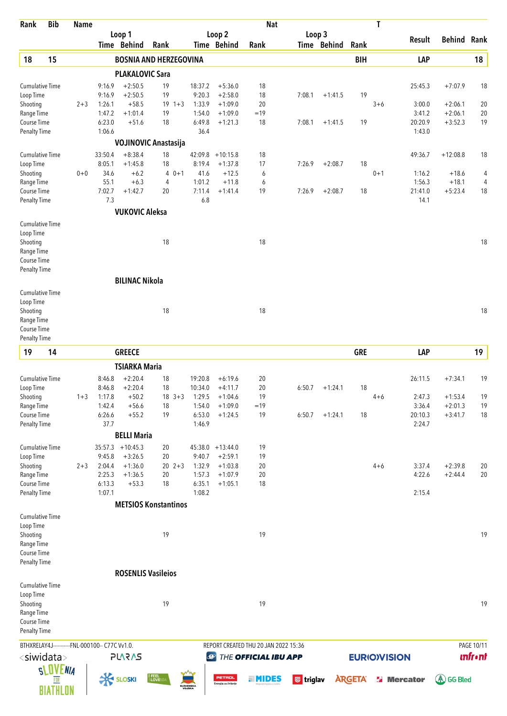| Rank                               | <b>Bib</b>             | Name    |                                                |                               |                    |            |                     |                        | <b>Nat</b>                           |                  |             |               | T                  |                    |                    |                |
|------------------------------------|------------------------|---------|------------------------------------------------|-------------------------------|--------------------|------------|---------------------|------------------------|--------------------------------------|------------------|-------------|---------------|--------------------|--------------------|--------------------|----------------|
|                                    |                        |         |                                                | Loop 1                        |                    |            |                     | Loop 2                 |                                      |                  | Loop 3      |               |                    | Result             | <b>Behind Rank</b> |                |
|                                    |                        |         |                                                | Time Behind                   | Rank               |            |                     | Time Behind            | Rank                                 |                  | Time Behind | Rank          |                    |                    |                    |                |
| 18                                 | 15                     |         |                                                | <b>BOSNIA AND HERZEGOVINA</b> |                    |            |                     |                        |                                      |                  |             | <b>BIH</b>    |                    | LAP                |                    | 18             |
|                                    |                        |         |                                                | <b>PLAKALOVIC Sara</b>        |                    |            |                     |                        |                                      |                  |             |               |                    |                    |                    |                |
| <b>Cumulative Time</b>             |                        |         | 9:16.9                                         | $+2:50.5$                     | 19                 |            | 18:37.2             | $+5:36.0$              | 18                                   |                  |             |               |                    | 25:45.3            | $+7:07.9$          | 18             |
| Loop Time                          |                        |         | 9:16.9                                         | $+2:50.5$                     | 19                 |            | 9:20.3              | $+2:58.0$              | 18                                   | 7:08.1           | $+1:41.5$   | 19            |                    |                    |                    |                |
| Shooting                           |                        | $2 + 3$ | 1:26.1                                         | $+58.5$                       |                    | $19 \t1+3$ | 1:33.9              | $+1:09.0$              | 20                                   |                  |             |               | $3 + 6$            | 3:00.0             | $+2:06.1$          | 20             |
| Range Time                         |                        |         | 1:47.2                                         | $+1:01.4$                     | 19                 |            | 1:54.0              | $+1:09.0$              | $=19$                                |                  |             |               |                    | 3:41.2             | $+2:06.1$          | $20\,$         |
| Course Time<br><b>Penalty Time</b> |                        |         | 6:23.0<br>1:06.6                               | $+51.6$                       | 18                 |            | 6:49.8<br>36.4      | $+1:21.3$              | 18                                   | 7:08.1           | $+1:41.5$   | 19            |                    | 20:20.9<br>1:43.0  | $+3:52.3$          | 19             |
|                                    |                        |         |                                                | <b>VOJINOVIC Anastasija</b>   |                    |            |                     |                        |                                      |                  |             |               |                    |                    |                    |                |
| <b>Cumulative Time</b>             |                        |         | 33:50.4                                        | $+8:38.4$                     | 18                 |            | 42:09.8             | $+10:15.8$             | 18                                   |                  |             |               |                    | 49:36.7            | $+12:08.8$         | 18             |
| Loop Time                          |                        |         | 8:05.1                                         | $+1:45.8$                     | 18                 |            | 8:19.4              | $+1:37.8$              | 17                                   | 7:26.9           | $+2:08.7$   | 18            |                    |                    |                    |                |
| Shooting                           |                        | $0 + 0$ | 34.6                                           | $+6.2$                        | 4                  | $0 + 1$    | 41.6                | $+12.5$                | 6                                    |                  |             |               | $0 + 1$            | 1:16.2             | $+18.6$            | 4              |
| Range Time                         |                        |         | 55.1                                           | $+6.3$                        | 4                  |            | 1:01.2              | $+11.8$                | 6                                    |                  |             |               |                    | 1:56.3             | $+18.1$            | 4              |
| Course Time                        |                        |         | 7:02.7                                         | $+1:42.7$                     | 20                 |            | 7:11.4              | $+1:41.4$              | 19                                   | 7:26.9           | $+2:08.7$   | 18            |                    | 21:41.0            | $+5:23.4$          | 18             |
| <b>Penalty Time</b>                |                        |         | 7.3                                            |                               |                    |            | $6.8$               |                        |                                      |                  |             |               |                    | 14.1               |                    |                |
|                                    |                        |         |                                                | <b>VUKOVIC Aleksa</b>         |                    |            |                     |                        |                                      |                  |             |               |                    |                    |                    |                |
| <b>Cumulative Time</b>             |                        |         |                                                |                               |                    |            |                     |                        |                                      |                  |             |               |                    |                    |                    |                |
| Loop Time<br>Shooting              |                        |         |                                                |                               | 18                 |            |                     |                        | 18                                   |                  |             |               |                    |                    |                    | 18             |
| Range Time                         |                        |         |                                                |                               |                    |            |                     |                        |                                      |                  |             |               |                    |                    |                    |                |
| Course Time                        |                        |         |                                                |                               |                    |            |                     |                        |                                      |                  |             |               |                    |                    |                    |                |
| <b>Penalty Time</b>                |                        |         |                                                |                               |                    |            |                     |                        |                                      |                  |             |               |                    |                    |                    |                |
|                                    |                        |         |                                                | <b>BILINAC Nikola</b>         |                    |            |                     |                        |                                      |                  |             |               |                    |                    |                    |                |
| <b>Cumulative Time</b>             |                        |         |                                                |                               |                    |            |                     |                        |                                      |                  |             |               |                    |                    |                    |                |
| Loop Time                          |                        |         |                                                |                               |                    |            |                     |                        |                                      |                  |             |               |                    |                    |                    |                |
| Shooting                           |                        |         |                                                |                               | 18                 |            |                     |                        | 18                                   |                  |             |               |                    |                    |                    | 18             |
| Range Time                         |                        |         |                                                |                               |                    |            |                     |                        |                                      |                  |             |               |                    |                    |                    |                |
| Course Time                        |                        |         |                                                |                               |                    |            |                     |                        |                                      |                  |             |               |                    |                    |                    |                |
| Penalty Time                       |                        |         |                                                |                               |                    |            |                     |                        |                                      |                  |             |               |                    |                    |                    |                |
| 19                                 | 14                     |         |                                                | <b>GREECE</b>                 |                    |            |                     |                        |                                      |                  |             | <b>GRE</b>    |                    | LAP                |                    | 19             |
|                                    |                        |         |                                                | <b>TSIARKA Maria</b>          |                    |            |                     |                        |                                      |                  |             |               |                    |                    |                    |                |
| <b>Cumulative Time</b>             |                        |         | 8:46.8                                         | $+2:20.4$                     | 18                 |            | 19:20.8             | $+6:19.6$              | 20                                   |                  |             |               |                    | 26:11.5            | $+7:34.1$          | 19             |
| Loop Time                          |                        |         | 8:46.8                                         | $+2:20.4$                     | 18                 |            | 10:34.0             | $+4:11.7$              | 20                                   | 6:50.7           | $+1:24.1$   | 18            |                    |                    |                    |                |
| Shooting                           |                        | $1 + 3$ | 1:17.8                                         | $+50.2$                       |                    | $18 \t3+3$ | 1:29.5              | $+1:04.6$              | 19                                   |                  |             |               | $4 + 6$            | 2:47.3             | $+1:53.4$          | 19             |
| Range Time                         |                        |         | 1:42.4                                         | $+56.6$                       | 18                 |            | 1:54.0              | $+1:09.0$              | $=19$                                |                  |             |               |                    | 3:36.4             | $+2:01.3$          | 19             |
| Course Time                        |                        |         | 6:26.6<br>37.7                                 | $+55.2$                       | 19                 |            | 6:53.0<br>1:46.9    | $+1:24.5$              | 19                                   | 6:50.7           | $+1:24.1$   | 18            |                    | 20:10.3<br>2:24.7  | $+3:41.7$          | 18             |
| <b>Penalty Time</b>                |                        |         |                                                |                               |                    |            |                     |                        |                                      |                  |             |               |                    |                    |                    |                |
|                                    |                        |         |                                                | <b>BELLI Maria</b>            |                    |            |                     |                        |                                      |                  |             |               |                    |                    |                    |                |
| <b>Cumulative Time</b>             |                        |         |                                                | $35:57.3 + 10:45.3$           | 20                 |            |                     | $45:38.0 + 13:44.0$    | 19                                   |                  |             |               |                    |                    |                    |                |
| Loop Time<br>Shooting              |                        | $2 + 3$ | 9:45.8<br>2:04.4                               | $+3:26.5$<br>$+1:36.0$        | 20                 | $20 \t2+3$ | 9:40.7<br>1:32.9    | $+2:59.1$<br>$+1:03.8$ | 19<br>20                             |                  |             |               | $4 + 6$            | 3:37.4             | $+2:39.8$          | 20             |
| Range Time                         |                        |         | 2:25.3                                         | $+1:36.5$                     | 20                 |            | 1:57.3              | $+1:07.9$              | 20                                   |                  |             |               |                    | 4:22.6             | $+2:44.4$          | 20             |
| Course Time                        |                        |         | 6:13.3                                         | $+53.3$                       | 18                 |            | 6:35.1              | $+1:05.1$              | 18                                   |                  |             |               |                    |                    |                    |                |
| Penalty Time                       |                        |         | 1:07.1                                         |                               |                    |            | 1:08.2              |                        |                                      |                  |             |               |                    | 2:15.4             |                    |                |
|                                    |                        |         |                                                | <b>METSIOS Konstantinos</b>   |                    |            |                     |                        |                                      |                  |             |               |                    |                    |                    |                |
| <b>Cumulative Time</b>             |                        |         |                                                |                               |                    |            |                     |                        |                                      |                  |             |               |                    |                    |                    |                |
| Loop Time                          |                        |         |                                                |                               |                    |            |                     |                        |                                      |                  |             |               |                    |                    |                    |                |
| Shooting                           |                        |         |                                                |                               | 19                 |            |                     |                        | 19                                   |                  |             |               |                    |                    |                    | 19             |
| Range Time                         |                        |         |                                                |                               |                    |            |                     |                        |                                      |                  |             |               |                    |                    |                    |                |
| Course Time<br><b>Penalty Time</b> |                        |         |                                                |                               |                    |            |                     |                        |                                      |                  |             |               |                    |                    |                    |                |
|                                    |                        |         |                                                | <b>ROSENLIS Vasileios</b>     |                    |            |                     |                        |                                      |                  |             |               |                    |                    |                    |                |
| Cumulative Time                    |                        |         |                                                |                               |                    |            |                     |                        |                                      |                  |             |               |                    |                    |                    |                |
| Loop Time                          |                        |         |                                                |                               |                    |            |                     |                        |                                      |                  |             |               |                    |                    |                    |                |
| Shooting                           |                        |         |                                                |                               | 19                 |            |                     |                        | 19                                   |                  |             |               |                    |                    |                    | 19             |
| Range Time                         |                        |         |                                                |                               |                    |            |                     |                        |                                      |                  |             |               |                    |                    |                    |                |
| Course Time                        |                        |         |                                                |                               |                    |            |                     |                        |                                      |                  |             |               |                    |                    |                    |                |
| Penalty Time                       |                        |         |                                                |                               |                    |            |                     |                        |                                      |                  |             |               |                    |                    |                    |                |
|                                    |                        |         | BTHXRELAY4J-----------FNL-000100-- C77C Vv1.0. |                               |                    |            |                     |                        | REPORT CREATED THU 20 JAN 2022 15:36 |                  |             |               |                    |                    |                    | PAGE 10/11     |
| <siwidata></siwidata>              |                        |         |                                                | <b>SV2V75</b>                 |                    |            |                     | $\bigcirc$             | THE OFFICIAL IBU APP                 |                  |             |               | <b>EURIOVISION</b> |                    |                    | <b>unfront</b> |
|                                    |                        |         |                                                |                               |                    |            |                     |                        |                                      |                  |             |               |                    |                    |                    |                |
|                                    | <b>SLOVENIA</b><br>FOR |         |                                                | <b>K SLOSKI</b>               | I FEEL<br>SLOVENI/ |            |                     | <b>PETROL</b>          | <b>FIMIDES</b>                       | <b>b</b> triglav |             | <b>ARGETA</b> |                    | <b>Si</b> Mercator | <u>ී</u> GG Bled   |                |
|                                    | <b>BIATHLON</b>        |         |                                                |                               |                    |            | SLOVENSKA<br>VOJSKA | Energija za življenje  |                                      |                  |             |               |                    |                    |                    |                |